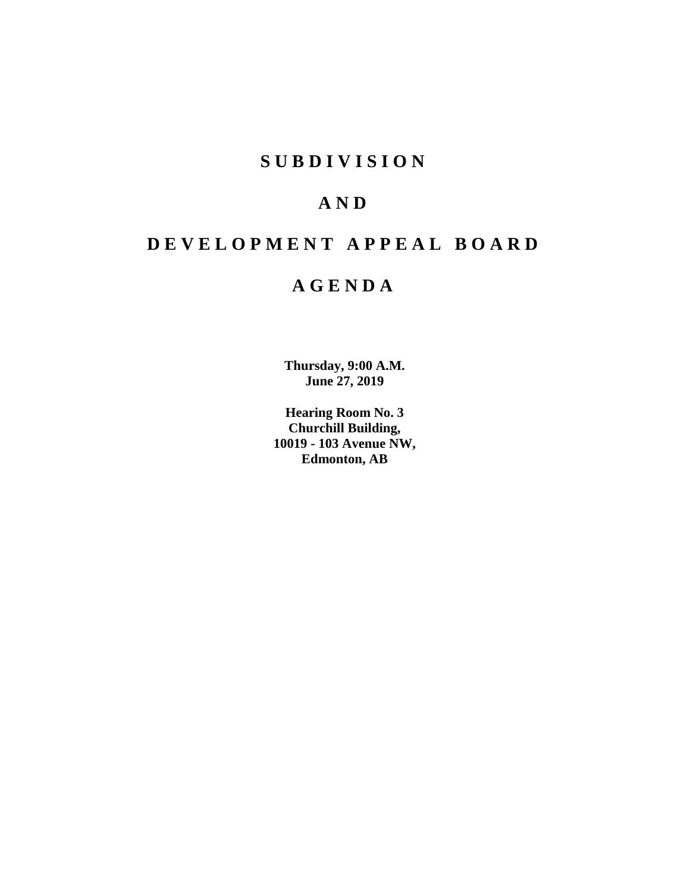# **SUBDIVISION**

# **AND**

# **DEVELOPMENT APPEAL BOARD**

# **AGENDA**

**Thursday, 9:00 A.M. June 27, 2019**

**Hearing Room No. 3 Churchill Building, 10019 - 103 Avenue NW, Edmonton, AB**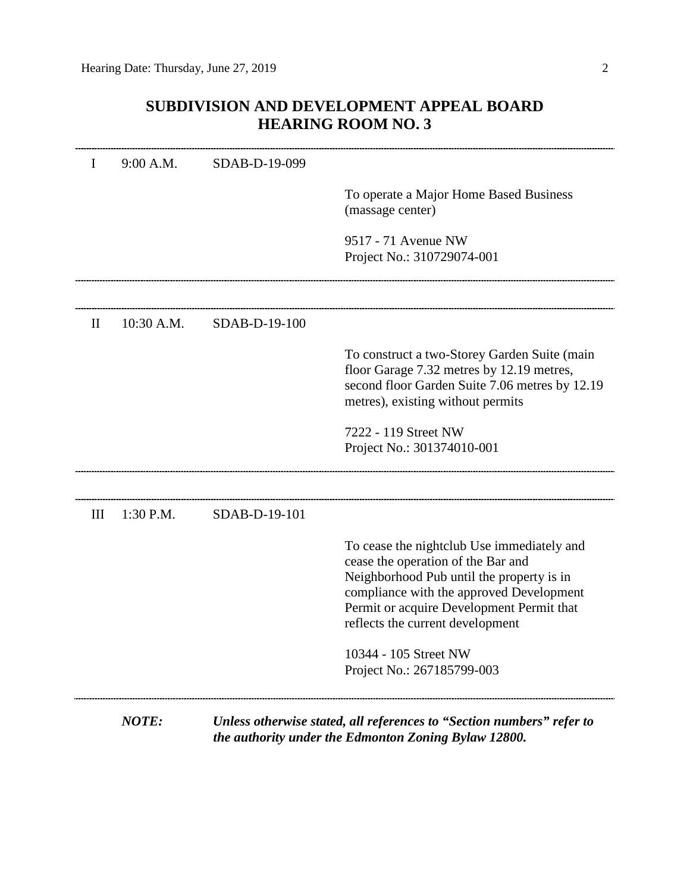# **SUBDIVISION AND DEVELOPMENT APPEAL BOARD HEARING ROOM NO. 3**

|              | <b>NOTE:</b> |               | Unless otherwise stated, all references to "Section numbers" refer to                                                                                                                                        |
|--------------|--------------|---------------|--------------------------------------------------------------------------------------------------------------------------------------------------------------------------------------------------------------|
|              |              |               | 10344 - 105 Street NW<br>Project No.: 267185799-003                                                                                                                                                          |
|              |              |               | cease the operation of the Bar and<br>Neighborhood Pub until the property is in<br>compliance with the approved Development<br>Permit or acquire Development Permit that<br>reflects the current development |
| III          | $1:30$ P.M.  | SDAB-D-19-101 | To cease the nightclub Use immediately and                                                                                                                                                                   |
|              |              |               | Project No.: 301374010-001                                                                                                                                                                                   |
|              |              |               | 7222 - 119 Street NW                                                                                                                                                                                         |
|              |              |               | floor Garage 7.32 metres by 12.19 metres,<br>second floor Garden Suite 7.06 metres by 12.19<br>metres), existing without permits                                                                             |
|              |              |               | To construct a two-Storey Garden Suite (main                                                                                                                                                                 |
| $\mathbf{I}$ | $10:30$ A.M. | SDAB-D-19-100 |                                                                                                                                                                                                              |
|              |              |               | 9517 - 71 Avenue NW<br>Project No.: 310729074-001                                                                                                                                                            |
|              |              |               |                                                                                                                                                                                                              |
|              |              |               | To operate a Major Home Based Business<br>(massage center)                                                                                                                                                   |
| I            | 9:00 A.M.    | SDAB-D-19-099 |                                                                                                                                                                                                              |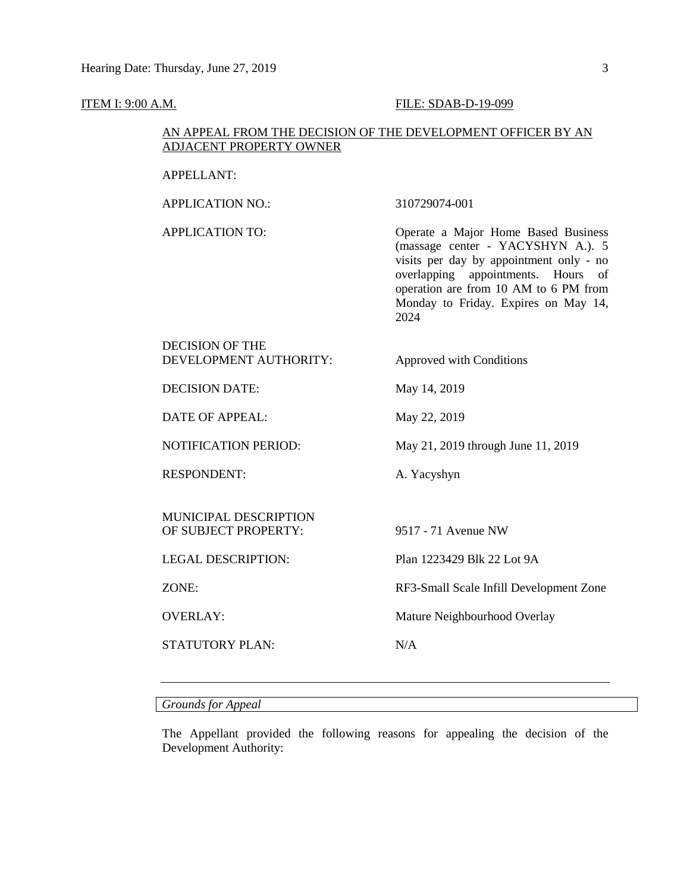#### **ITEM I: 9:00 A.M. FILE: SDAB-D-19-099**

## AN APPEAL FROM THE DECISION OF THE DEVELOPMENT OFFICER BY AN ADJACENT PROPERTY OWNER

#### APPELLANT:

APPLICATION NO.: 310729074-001

APPLICATION TO: Operate a Major Home Based Business (massage center - YACYSHYN A.). 5 visits per day by appointment only - no overlapping appointments. Hours of operation are from 10 AM to 6 PM from Monday to Friday. Expires on May 14, 2024

## DECISION OF THE DEVELOPMENT AUTHORITY: Approved with Conditions

DECISION DATE: May 14, 2019

DATE OF APPEAL: May 22, 2019

RESPONDENT: A. Yacyshyn

MUNICIPAL DESCRIPTION OF SUBJECT PROPERTY: 9517 - 71 Avenue NW

STATUTORY PLAN: N/A

NOTIFICATION PERIOD: May 21, 2019 through June 11, 2019

LEGAL DESCRIPTION: Plan 1223429 Blk 22 Lot 9A

ZONE: RF3-Small Scale Infill Development Zone

OVERLAY: Mature Neighbourhood Overlay

*Grounds for Appeal*

The Appellant provided the following reasons for appealing the decision of the Development Authority: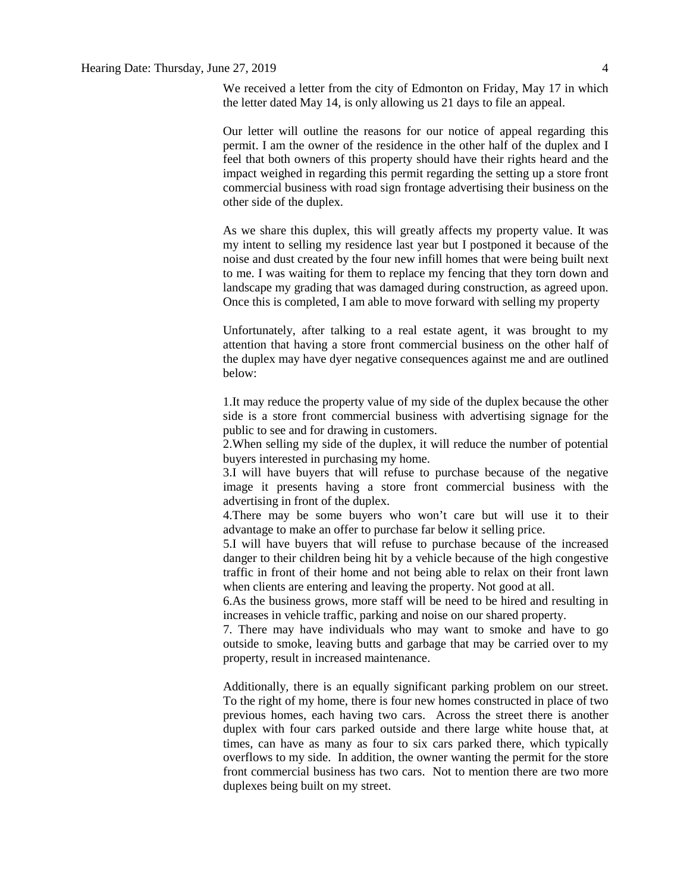We received a letter from the city of Edmonton on Friday, May 17 in which the letter dated May 14, is only allowing us 21 days to file an appeal.

Our letter will outline the reasons for our notice of appeal regarding this permit. I am the owner of the residence in the other half of the duplex and I feel that both owners of this property should have their rights heard and the impact weighed in regarding this permit regarding the setting up a store front commercial business with road sign frontage advertising their business on the other side of the duplex.

As we share this duplex, this will greatly affects my property value. It was my intent to selling my residence last year but I postponed it because of the noise and dust created by the four new infill homes that were being built next to me. I was waiting for them to replace my fencing that they torn down and landscape my grading that was damaged during construction, as agreed upon. Once this is completed, I am able to move forward with selling my property

Unfortunately, after talking to a real estate agent, it was brought to my attention that having a store front commercial business on the other half of the duplex may have dyer negative consequences against me and are outlined below:

1.It may reduce the property value of my side of the duplex because the other side is a store front commercial business with advertising signage for the public to see and for drawing in customers.

2.When selling my side of the duplex, it will reduce the number of potential buyers interested in purchasing my home.

3.I will have buyers that will refuse to purchase because of the negative image it presents having a store front commercial business with the advertising in front of the duplex.

4.There may be some buyers who won't care but will use it to their advantage to make an offer to purchase far below it selling price.

5.I will have buyers that will refuse to purchase because of the increased danger to their children being hit by a vehicle because of the high congestive traffic in front of their home and not being able to relax on their front lawn when clients are entering and leaving the property. Not good at all.

6.As the business grows, more staff will be need to be hired and resulting in increases in vehicle traffic, parking and noise on our shared property.

7. There may have individuals who may want to smoke and have to go outside to smoke, leaving butts and garbage that may be carried over to my property, result in increased maintenance.

Additionally, there is an equally significant parking problem on our street. To the right of my home, there is four new homes constructed in place of two previous homes, each having two cars. Across the street there is another duplex with four cars parked outside and there large white house that, at times, can have as many as four to six cars parked there, which typically overflows to my side. In addition, the owner wanting the permit for the store front commercial business has two cars. Not to mention there are two more duplexes being built on my street.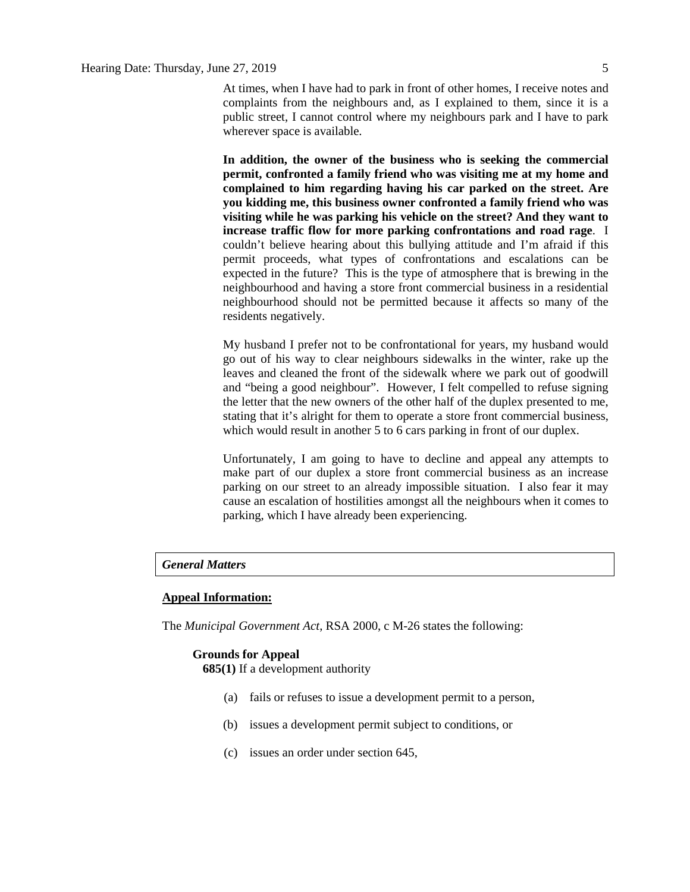At times, when I have had to park in front of other homes, I receive notes and complaints from the neighbours and, as I explained to them, since it is a public street, I cannot control where my neighbours park and I have to park wherever space is available.

**In addition, the owner of the business who is seeking the commercial permit, confronted a family friend who was visiting me at my home and complained to him regarding having his car parked on the street. Are you kidding me, this business owner confronted a family friend who was visiting while he was parking his vehicle on the street? And they want to increase traffic flow for more parking confrontations and road rage**. I couldn't believe hearing about this bullying attitude and I'm afraid if this permit proceeds, what types of confrontations and escalations can be expected in the future? This is the type of atmosphere that is brewing in the neighbourhood and having a store front commercial business in a residential neighbourhood should not be permitted because it affects so many of the residents negatively.

My husband I prefer not to be confrontational for years, my husband would go out of his way to clear neighbours sidewalks in the winter, rake up the leaves and cleaned the front of the sidewalk where we park out of goodwill and "being a good neighbour". However, I felt compelled to refuse signing the letter that the new owners of the other half of the duplex presented to me, stating that it's alright for them to operate a store front commercial business, which would result in another 5 to 6 cars parking in front of our duplex.

Unfortunately, I am going to have to decline and appeal any attempts to make part of our duplex a store front commercial business as an increase parking on our street to an already impossible situation. I also fear it may cause an escalation of hostilities amongst all the neighbours when it comes to parking, which I have already been experiencing.

## *General Matters*

#### **Appeal Information:**

The *Municipal Government Act*, RSA 2000, c M-26 states the following:

#### **Grounds for Appeal**

**685(1)** If a development authority

- (a) fails or refuses to issue a development permit to a person,
- (b) issues a development permit subject to conditions, or
- (c) issues an order under section 645,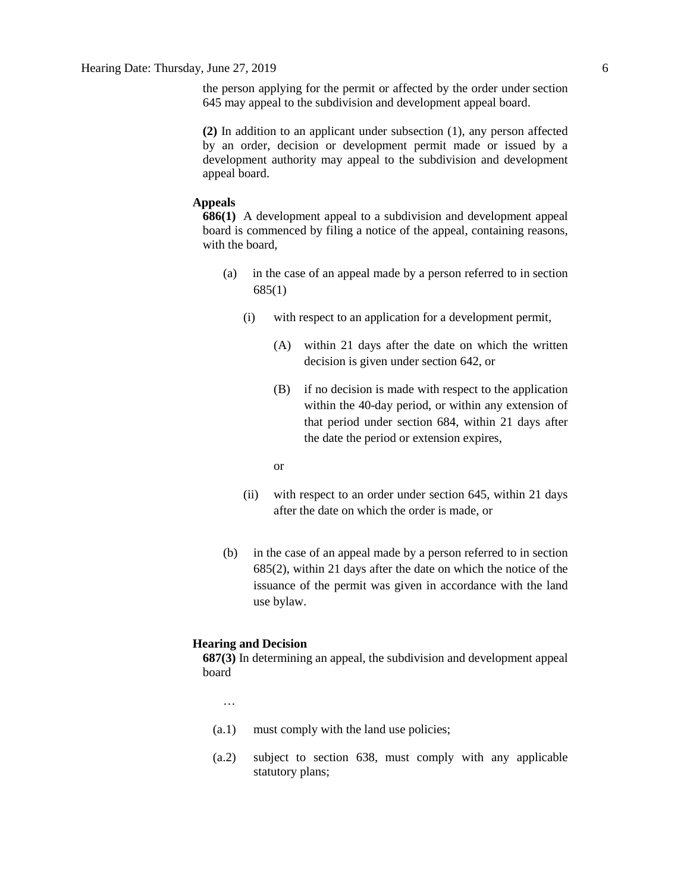the person applying for the permit or affected by the order under section 645 may appeal to the subdivision and development appeal board.

**(2)** In addition to an applicant under subsection (1), any person affected by an order, decision or development permit made or issued by a development authority may appeal to the subdivision and development appeal board.

#### **Appeals**

**686(1)** A development appeal to a subdivision and development appeal board is commenced by filing a notice of the appeal, containing reasons, with the board,

- (a) in the case of an appeal made by a person referred to in section 685(1)
	- (i) with respect to an application for a development permit,
		- (A) within 21 days after the date on which the written decision is given under section 642, or
		- (B) if no decision is made with respect to the application within the 40-day period, or within any extension of that period under section 684, within 21 days after the date the period or extension expires,
		- or
	- (ii) with respect to an order under section 645, within 21 days after the date on which the order is made, or
- (b) in the case of an appeal made by a person referred to in section 685(2), within 21 days after the date on which the notice of the issuance of the permit was given in accordance with the land use bylaw.

#### **Hearing and Decision**

**687(3)** In determining an appeal, the subdivision and development appeal board

…

- (a.1) must comply with the land use policies;
- (a.2) subject to section 638, must comply with any applicable statutory plans;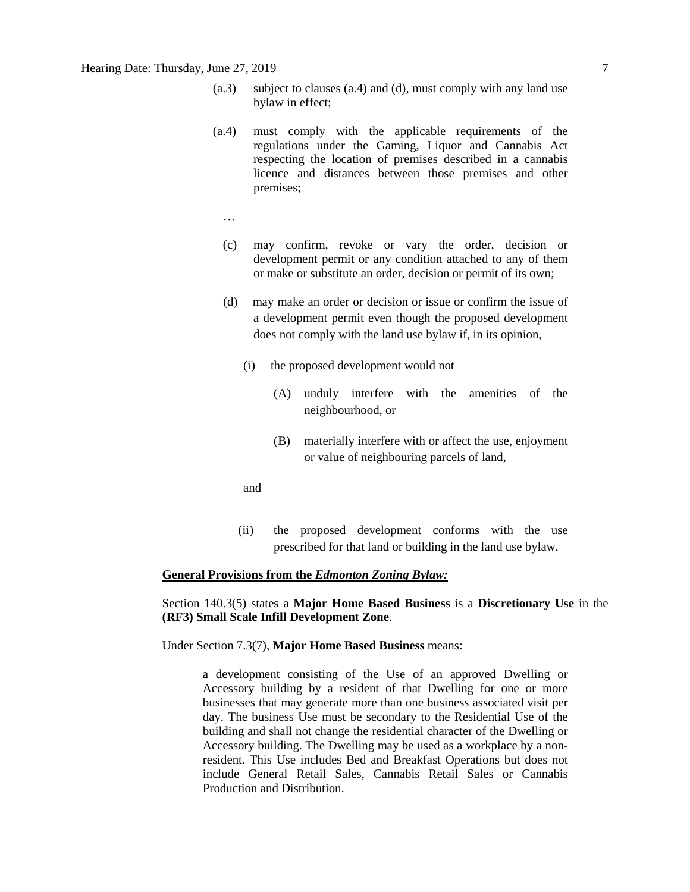- (a.3) subject to clauses (a.4) and (d), must comply with any land use bylaw in effect;
- (a.4) must comply with the applicable requirements of the regulations under the Gaming, Liquor and Cannabis Act respecting the location of premises described in a cannabis licence and distances between those premises and other premises;
	- …
	- (c) may confirm, revoke or vary the order, decision or development permit or any condition attached to any of them or make or substitute an order, decision or permit of its own;
	- (d) may make an order or decision or issue or confirm the issue of a development permit even though the proposed development does not comply with the land use bylaw if, in its opinion,
		- (i) the proposed development would not
			- (A) unduly interfere with the amenities of the neighbourhood, or
			- (B) materially interfere with or affect the use, enjoyment or value of neighbouring parcels of land,
		- and
		- (ii) the proposed development conforms with the use prescribed for that land or building in the land use bylaw.

#### **General Provisions from the** *Edmonton Zoning Bylaw:*

Section 140.3(5) states a **Major Home Based Business** is a **Discretionary Use** in the **(RF3) Small Scale Infill Development Zone**.

Under Section 7.3(7), **Major Home Based Business** means:

a development consisting of the Use of an approved Dwelling or Accessory building by a resident of that Dwelling for one or more businesses that may generate more than one business associated visit per day. The business Use must be secondary to the Residential Use of the building and shall not change the residential character of the Dwelling or Accessory building. The Dwelling may be used as a workplace by a nonresident. This Use includes Bed and Breakfast Operations but does not include General Retail Sales, Cannabis Retail Sales or Cannabis Production and Distribution.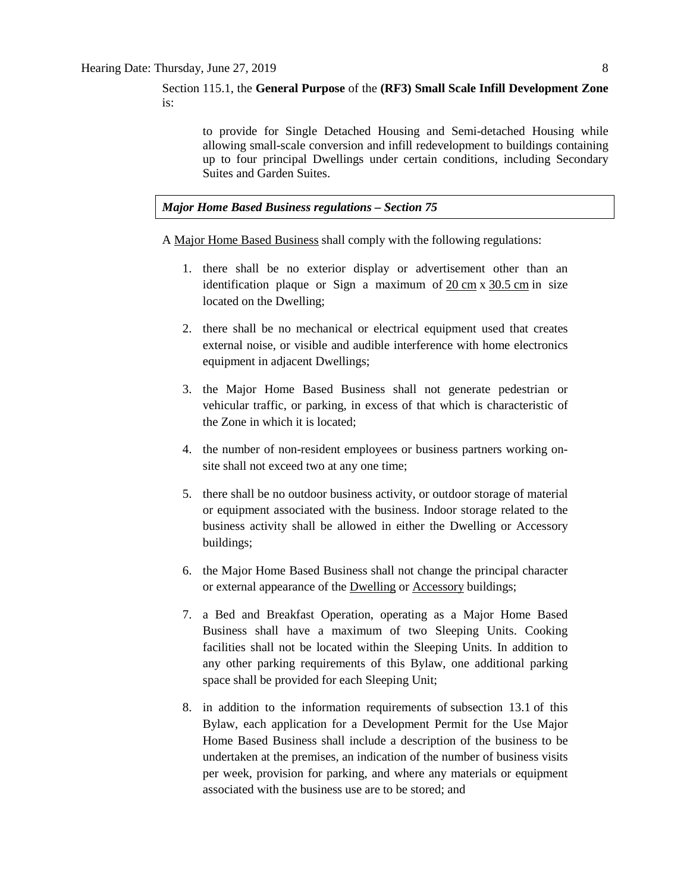Section 115.1, the **General Purpose** of the **(RF3) Small Scale Infill Development Zone**  is:

to provide for Single Detached Housing and Semi-detached Housing while allowing small-scale conversion and infill redevelopment to buildings containing up to four principal Dwellings under certain conditions, including Secondary Suites and Garden Suites.

#### *Major Home Based Business regulations – Section 75*

A [Major Home Based Business](javascript:void(0);) shall comply with the following regulations:

- 1. there shall be no exterior display or advertisement other than an identification plaque or Sign a maximum of 20 [cm](javascript:void(0);) x [30.5](javascript:void(0);) cm in size located on the Dwelling;
- 2. there shall be no mechanical or electrical equipment used that creates external noise, or visible and audible interference with home electronics equipment in adjacent Dwellings;
- 3. the Major Home Based Business shall not generate pedestrian or vehicular traffic, or parking, in excess of that which is characteristic of the Zone in which it is located;
- 4. the number of non-resident employees or business partners working onsite shall not exceed two at any one time;
- 5. there shall be no outdoor business activity, or outdoor storage of material or equipment associated with the business. Indoor storage related to the business activity shall be allowed in either the Dwelling or Accessory buildings;
- 6. the Major Home Based Business shall not change the principal character or external appearance of the [Dwelling](javascript:void(0);) or [Accessory](javascript:void(0);) buildings;
- 7. a Bed and Breakfast Operation, operating as a Major Home Based Business shall have a maximum of two Sleeping Units. Cooking facilities shall not be located within the Sleeping Units. In addition to any other parking requirements of this Bylaw, one additional parking space shall be provided for each Sleeping Unit;
- 8. in addition to the information requirements of [subsection 13.1](https://webdocs.edmonton.ca/InfraPlan/zoningbylaw/ZoningBylaw/Part1/Administrative/13__Development_Permit_Application.htm) of this Bylaw, each application for a Development Permit for the Use Major Home Based Business shall include a description of the business to be undertaken at the premises, an indication of the number of business visits per week, provision for parking, and where any materials or equipment associated with the business use are to be stored; and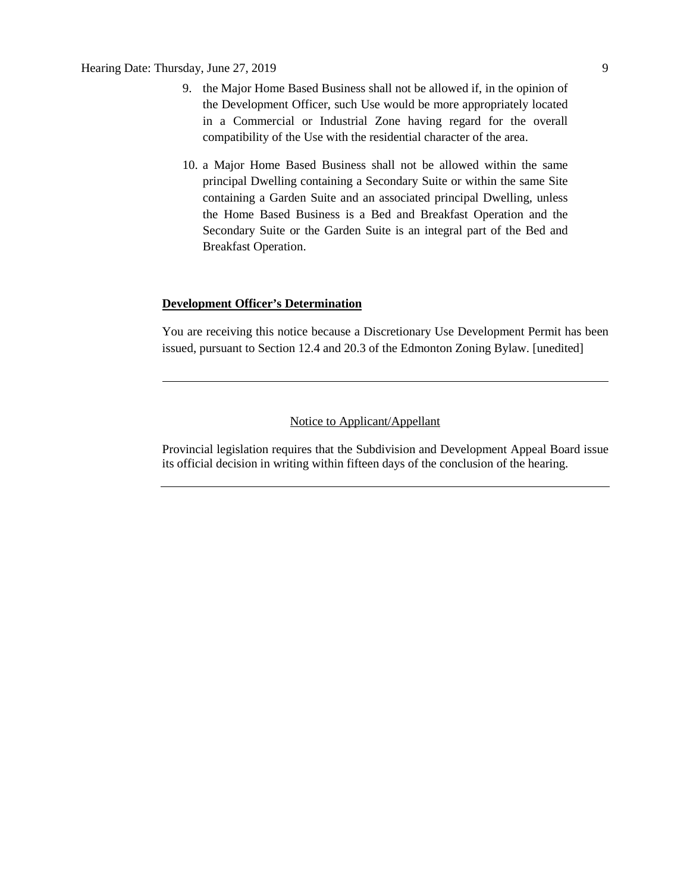## Hearing Date: Thursday, June 27, 2019 9

- 9. the [Major Home Based Business](javascript:void(0);) shall not be allowed if, in the opinion of the Development Officer, such Use would be more appropriately located in a Commercial or Industrial Zone having regard for the overall compatibility of the Use with the residential character of the area.
- 10. a Major Home Based Business shall not be allowed within the same principal Dwelling containing a Secondary Suite or within the same Site containing a Garden Suite and an associated principal Dwelling, unless the Home Based Business is a Bed and Breakfast Operation and the Secondary Suite or the Garden Suite is an integral part of the Bed and Breakfast Operation.

#### **Development Officer's Determination**

You are receiving this notice because a Discretionary Use Development Permit has been issued, pursuant to Section 12.4 and 20.3 of the Edmonton Zoning Bylaw. [unedited]

# Notice to Applicant/Appellant

Provincial legislation requires that the Subdivision and Development Appeal Board issue its official decision in writing within fifteen days of the conclusion of the hearing.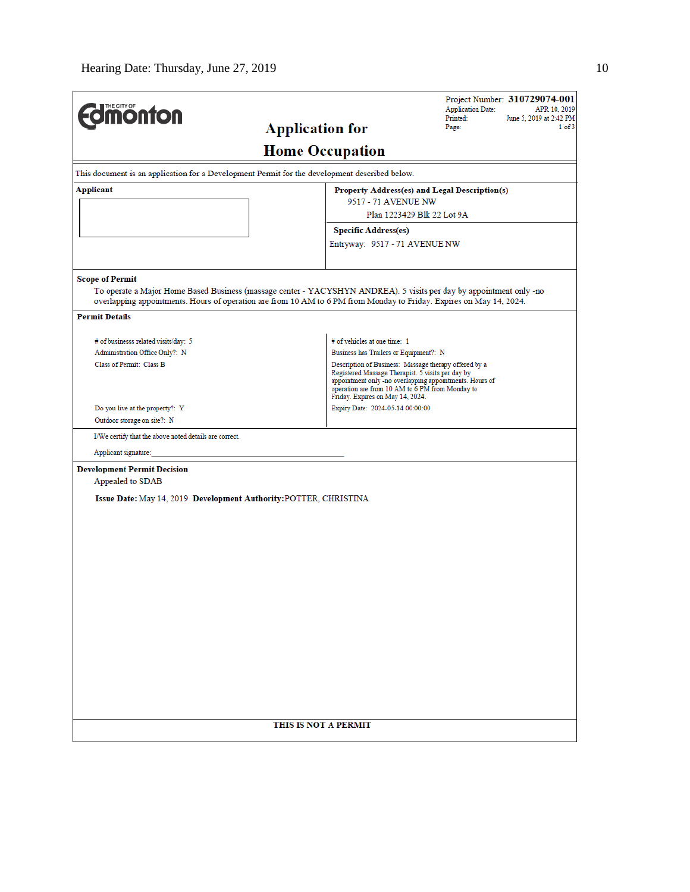| THE CITY OF<br><b>Onton</b>                                                                   |                                                                                                                     | Project Number: 310729074-001<br><b>Application Date:</b><br>APR 10, 2019<br>Printed:<br>June 5, 2019 at 2:42 PM |
|-----------------------------------------------------------------------------------------------|---------------------------------------------------------------------------------------------------------------------|------------------------------------------------------------------------------------------------------------------|
|                                                                                               | <b>Application for</b>                                                                                              | Page:<br>$1$ of $3$                                                                                              |
|                                                                                               | <b>Home Occupation</b>                                                                                              |                                                                                                                  |
| This document is an application for a Development Permit for the development described below. |                                                                                                                     |                                                                                                                  |
| Applicant                                                                                     |                                                                                                                     | Property Address(es) and Legal Description(s)                                                                    |
|                                                                                               | 9517 - 71 AVENUE NW                                                                                                 |                                                                                                                  |
|                                                                                               |                                                                                                                     | Plan 1223429 Blk 22 Lot 9A                                                                                       |
|                                                                                               | <b>Specific Address(es)</b>                                                                                         |                                                                                                                  |
|                                                                                               | Entryway: 9517 - 71 AVENUE NW                                                                                       |                                                                                                                  |
| <b>Scope of Permit</b>                                                                        |                                                                                                                     |                                                                                                                  |
|                                                                                               | To operate a Major Home Based Business (massage center - YACYSHYN ANDREA). 5 visits per day by appointment only -no |                                                                                                                  |
|                                                                                               | overlapping appointments. Hours of operation are from 10 AM to 6 PM from Monday to Friday. Expires on May 14, 2024. |                                                                                                                  |
| <b>Permit Details</b>                                                                         |                                                                                                                     |                                                                                                                  |
|                                                                                               | # of vehicles at one time: 1                                                                                        |                                                                                                                  |
| # of businesss related visits/day: 5<br>Administration Office Only?: N                        | Business has Trailers or Equipment?: N                                                                              |                                                                                                                  |
| Class of Permit: Class B                                                                      |                                                                                                                     | Description of Business: Massage therapy offered by a                                                            |
|                                                                                               | Registered Massage Therapist. 5 visits per day by                                                                   | appointment only -no overlapping appointments. Hours of                                                          |
|                                                                                               |                                                                                                                     | operation are from 10 AM to 6 PM from Monday to                                                                  |
| Do you live at the property?: Y                                                               | Friday. Expires on May 14, 2024.<br>Expiry Date: 2024-05-14 00:00:00                                                |                                                                                                                  |
| Outdoor storage on site?: N                                                                   |                                                                                                                     |                                                                                                                  |
| I/We certify that the above noted details are correct.                                        |                                                                                                                     |                                                                                                                  |
| Applicant signature:                                                                          |                                                                                                                     |                                                                                                                  |
| <b>Development Permit Decision</b>                                                            |                                                                                                                     |                                                                                                                  |
| Appealed to SDAB                                                                              |                                                                                                                     |                                                                                                                  |
| Issue Date: May 14, 2019 Development Authority: POTTER, CHRISTINA                             |                                                                                                                     |                                                                                                                  |
|                                                                                               |                                                                                                                     |                                                                                                                  |
|                                                                                               |                                                                                                                     |                                                                                                                  |
|                                                                                               |                                                                                                                     |                                                                                                                  |
|                                                                                               |                                                                                                                     |                                                                                                                  |
|                                                                                               |                                                                                                                     |                                                                                                                  |
|                                                                                               |                                                                                                                     |                                                                                                                  |
|                                                                                               |                                                                                                                     |                                                                                                                  |
|                                                                                               |                                                                                                                     |                                                                                                                  |
|                                                                                               |                                                                                                                     |                                                                                                                  |
|                                                                                               |                                                                                                                     |                                                                                                                  |
|                                                                                               |                                                                                                                     |                                                                                                                  |
|                                                                                               |                                                                                                                     |                                                                                                                  |
|                                                                                               |                                                                                                                     |                                                                                                                  |
|                                                                                               |                                                                                                                     |                                                                                                                  |
|                                                                                               |                                                                                                                     |                                                                                                                  |
|                                                                                               | THIS IS NOT A PERMIT                                                                                                |                                                                                                                  |
|                                                                                               |                                                                                                                     |                                                                                                                  |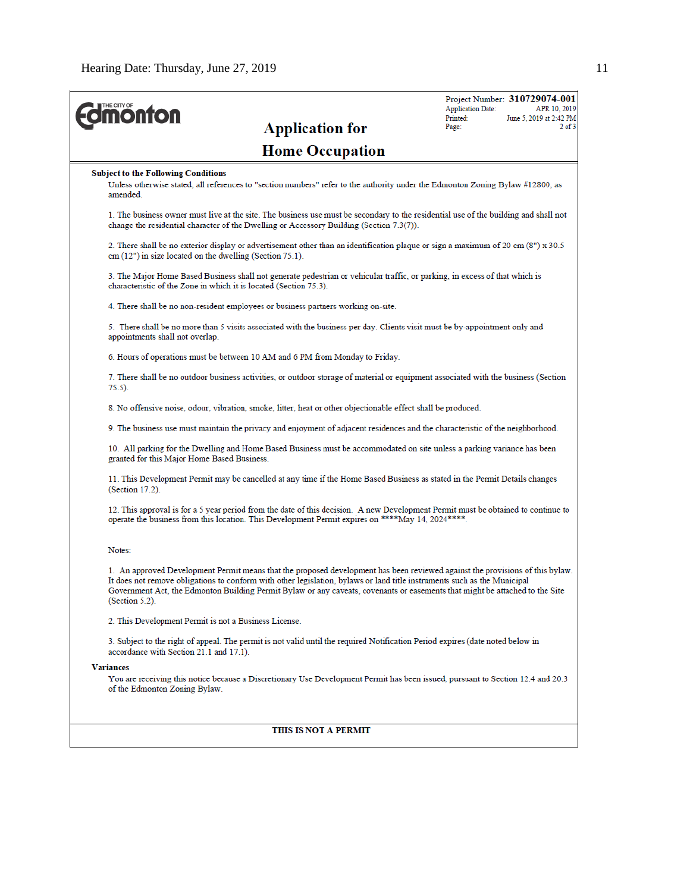| <b><i><u><u><b>Monton</b></u></u></i></b><br><b>Application for</b>                                                                                                                                                                                                                                                                                                                                         | <b>Application Date:</b><br>Printed:<br>Page: | Project Number: 310729074-001<br>APR 10, 2019<br>June 5, 2019 at 2:42 PM<br>$2$ of $3$ |
|-------------------------------------------------------------------------------------------------------------------------------------------------------------------------------------------------------------------------------------------------------------------------------------------------------------------------------------------------------------------------------------------------------------|-----------------------------------------------|----------------------------------------------------------------------------------------|
| <b>Home Occupation</b>                                                                                                                                                                                                                                                                                                                                                                                      |                                               |                                                                                        |
| <b>Subject to the Following Conditions</b><br>Unless otherwise stated, all references to "section numbers" refer to the authority under the Edmonton Zoning Bylaw #12800, as<br>amended.                                                                                                                                                                                                                    |                                               |                                                                                        |
| 1. The business owner must live at the site. The business use must be secondary to the residential use of the building and shall not<br>change the residential character of the Dwelling or Accessory Building (Section 7.3(7)).                                                                                                                                                                            |                                               |                                                                                        |
| 2. There shall be no exterior display or advertisement other than an identification plaque or sign a maximum of 20 cm (8") x 30.5<br>cm (12") in size located on the dwelling (Section 75.1).                                                                                                                                                                                                               |                                               |                                                                                        |
| 3. The Major Home Based Business shall not generate pedestrian or vehicular traffic, or parking, in excess of that which is<br>characteristic of the Zone in which it is located (Section 75.3).                                                                                                                                                                                                            |                                               |                                                                                        |
| 4. There shall be no non-resident employees or business partners working on-site.                                                                                                                                                                                                                                                                                                                           |                                               |                                                                                        |
| 5. There shall be no more than 5 visits associated with the business per day. Clients visit must be by-appointment only and<br>appointments shall not overlap.                                                                                                                                                                                                                                              |                                               |                                                                                        |
| 6. Hours of operations must be between 10 AM and 6 PM from Monday to Friday.                                                                                                                                                                                                                                                                                                                                |                                               |                                                                                        |
| 7. There shall be no outdoor business activities, or outdoor storage of material or equipment associated with the business (Section<br>$75.5$ ).                                                                                                                                                                                                                                                            |                                               |                                                                                        |
| 8. No offensive noise, odour, vibration, smoke, litter, heat or other objectionable effect shall be produced.                                                                                                                                                                                                                                                                                               |                                               |                                                                                        |
| 9. The business use must maintain the privacy and enjoyment of adjacent residences and the characteristic of the neighborhood.                                                                                                                                                                                                                                                                              |                                               |                                                                                        |
| 10. All parking for the Dwelling and Home Based Business must be accommodated on site unless a parking variance has been<br>granted for this Major Home Based Business.                                                                                                                                                                                                                                     |                                               |                                                                                        |
| 11. This Development Permit may be cancelled at any time if the Home Based Business as stated in the Permit Details changes<br>$(Section 17.2)$ .                                                                                                                                                                                                                                                           |                                               |                                                                                        |
| 12. This approval is for a 5 year period from the date of this decision. A new Development Permit must be obtained to continue to<br>operate the business from this location. This Development Permit expires on ****May 14, 2024****.                                                                                                                                                                      |                                               |                                                                                        |
| Notes:                                                                                                                                                                                                                                                                                                                                                                                                      |                                               |                                                                                        |
| 1. An approved Development Permit means that the proposed development has been reviewed against the provisions of this bylaw.<br>It does not remove obligations to conform with other legislation, bylaws or land title instruments such as the Municipal<br>Government Act, the Edmonton Building Permit Bylaw or any caveats, covenants or easements that might be attached to the Site<br>(Section 5.2). |                                               |                                                                                        |
| 2. This Development Permit is not a Business License.                                                                                                                                                                                                                                                                                                                                                       |                                               |                                                                                        |
| 3. Subject to the right of appeal. The permit is not valid until the required Notification Period expires (date noted below in<br>accordance with Section 21.1 and 17.1).                                                                                                                                                                                                                                   |                                               |                                                                                        |
| <b>Variances</b>                                                                                                                                                                                                                                                                                                                                                                                            |                                               |                                                                                        |
| You are receiving this notice because a Discretionary Use Development Permit has been issued, pursuant to Section 12.4 and 20.3<br>of the Edmonton Zoning Bylaw.                                                                                                                                                                                                                                            |                                               |                                                                                        |
|                                                                                                                                                                                                                                                                                                                                                                                                             |                                               |                                                                                        |
| THIS IS NOT A PERMIT                                                                                                                                                                                                                                                                                                                                                                                        |                                               |                                                                                        |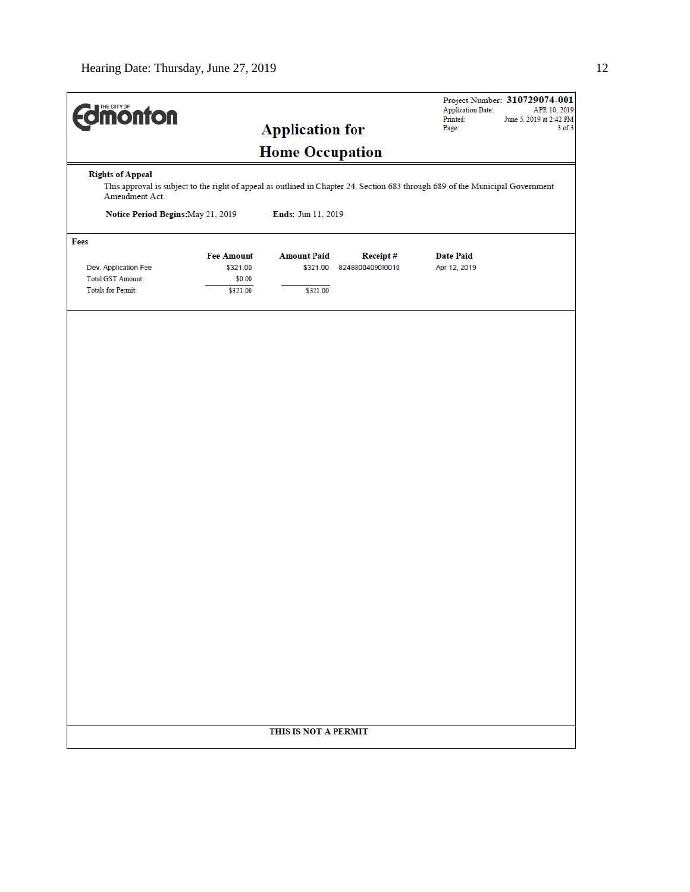| <b>Imonton</b>                                   |                                                                                                                                | <b>Application for</b>         |                              | <b>Application Date:</b><br>Printed:<br>Page: | Project Number: 310729074-001<br>APR 10, 2019<br>June 5, 2019 at 2:42 PM<br>$3$ of $3$ |
|--------------------------------------------------|--------------------------------------------------------------------------------------------------------------------------------|--------------------------------|------------------------------|-----------------------------------------------|----------------------------------------------------------------------------------------|
|                                                  |                                                                                                                                | <b>Home Occupation</b>         |                              |                                               |                                                                                        |
| <b>Rights of Appeal</b><br>Amendment Act.        | This approval is subject to the right of appeal as outlined in Chapter 24, Section 683 through 689 of the Municipal Government |                                |                              |                                               |                                                                                        |
| Notice Period Begins: May 21, 2019               |                                                                                                                                | Ends: Jun 11, 2019             |                              |                                               |                                                                                        |
| Fees                                             |                                                                                                                                |                                |                              |                                               |                                                                                        |
| Dev. Application Fee<br><b>Total GST Amount:</b> | <b>Fee Amount</b><br>\$321.00<br>\$0.00                                                                                        | <b>Amount Paid</b><br>\$321.00 | Receipt#<br>8248800409010010 | <b>Date Paid</b><br>Apr 12, 2019              |                                                                                        |
| Totals for Permit:                               | \$321.00                                                                                                                       | \$321.00                       |                              |                                               |                                                                                        |
|                                                  |                                                                                                                                |                                |                              |                                               |                                                                                        |
|                                                  |                                                                                                                                |                                |                              |                                               |                                                                                        |
|                                                  |                                                                                                                                |                                |                              |                                               |                                                                                        |
|                                                  |                                                                                                                                |                                |                              |                                               |                                                                                        |
|                                                  |                                                                                                                                |                                |                              |                                               |                                                                                        |
|                                                  |                                                                                                                                |                                |                              |                                               |                                                                                        |
|                                                  |                                                                                                                                |                                |                              |                                               |                                                                                        |
|                                                  |                                                                                                                                |                                |                              |                                               |                                                                                        |
|                                                  |                                                                                                                                |                                |                              |                                               |                                                                                        |
|                                                  |                                                                                                                                |                                |                              |                                               |                                                                                        |
|                                                  |                                                                                                                                |                                |                              |                                               |                                                                                        |
|                                                  |                                                                                                                                |                                |                              |                                               |                                                                                        |
|                                                  |                                                                                                                                |                                |                              |                                               |                                                                                        |
|                                                  |                                                                                                                                |                                |                              |                                               |                                                                                        |
|                                                  |                                                                                                                                |                                |                              |                                               |                                                                                        |
|                                                  |                                                                                                                                |                                |                              |                                               |                                                                                        |
|                                                  |                                                                                                                                |                                |                              |                                               |                                                                                        |
|                                                  |                                                                                                                                |                                |                              |                                               |                                                                                        |
|                                                  |                                                                                                                                |                                |                              |                                               |                                                                                        |
|                                                  |                                                                                                                                |                                |                              |                                               |                                                                                        |
|                                                  |                                                                                                                                |                                |                              |                                               |                                                                                        |
|                                                  |                                                                                                                                |                                |                              |                                               |                                                                                        |
|                                                  |                                                                                                                                |                                |                              |                                               |                                                                                        |
|                                                  |                                                                                                                                | THIS IS NOT A PERMIT           |                              |                                               |                                                                                        |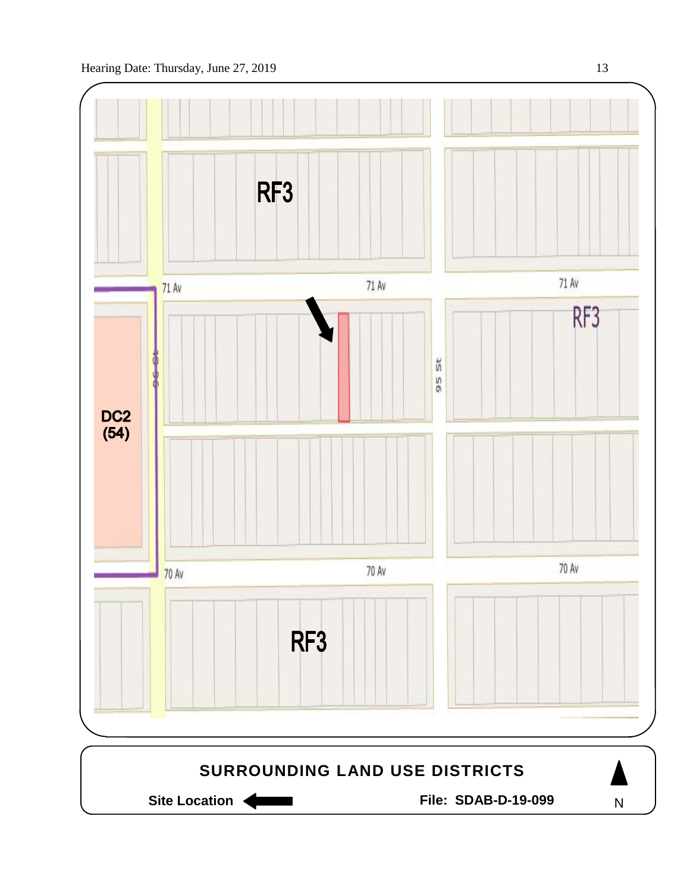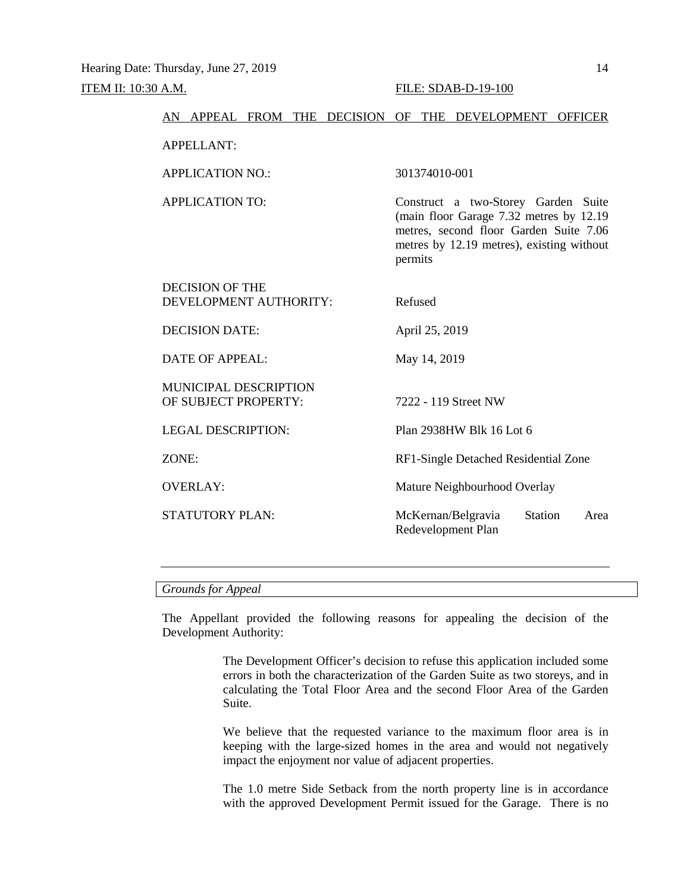| AN APPEAL FROM THE DECISION OF THE DEVELOPMENT       | <b>OFFICER</b>                                                                                                                                                                   |
|------------------------------------------------------|----------------------------------------------------------------------------------------------------------------------------------------------------------------------------------|
| <b>APPELLANT:</b>                                    |                                                                                                                                                                                  |
| <b>APPLICATION NO.:</b>                              | 301374010-001                                                                                                                                                                    |
| <b>APPLICATION TO:</b>                               | Construct a two-Storey Garden Suite<br>(main floor Garage 7.32 metres by 12.19<br>metres, second floor Garden Suite 7.06<br>metres by 12.19 metres), existing without<br>permits |
| <b>DECISION OF THE</b><br>DEVELOPMENT AUTHORITY:     | Refused                                                                                                                                                                          |
| <b>DECISION DATE:</b>                                | April 25, 2019                                                                                                                                                                   |
| DATE OF APPEAL:                                      | May 14, 2019                                                                                                                                                                     |
| <b>MUNICIPAL DESCRIPTION</b><br>OF SUBJECT PROPERTY: | 7222 - 119 Street NW                                                                                                                                                             |
| <b>LEGAL DESCRIPTION:</b>                            | Plan 2938HW Blk 16 Lot 6                                                                                                                                                         |
| ZONE:                                                | RF1-Single Detached Residential Zone                                                                                                                                             |
| <b>OVERLAY:</b>                                      | Mature Neighbourhood Overlay                                                                                                                                                     |
| <b>STATUTORY PLAN:</b>                               | McKernan/Belgravia<br><b>Station</b><br>Area<br>Redevelopment Plan                                                                                                               |
|                                                      |                                                                                                                                                                                  |

#### *Grounds for Appeal*

The Appellant provided the following reasons for appealing the decision of the Development Authority:

> The Development Officer's decision to refuse this application included some errors in both the characterization of the Garden Suite as two storeys, and in calculating the Total Floor Area and the second Floor Area of the Garden Suite.

> We believe that the requested variance to the maximum floor area is in keeping with the large-sized homes in the area and would not negatively impact the enjoyment nor value of adjacent properties.

> The 1.0 metre Side Setback from the north property line is in accordance with the approved Development Permit issued for the Garage. There is no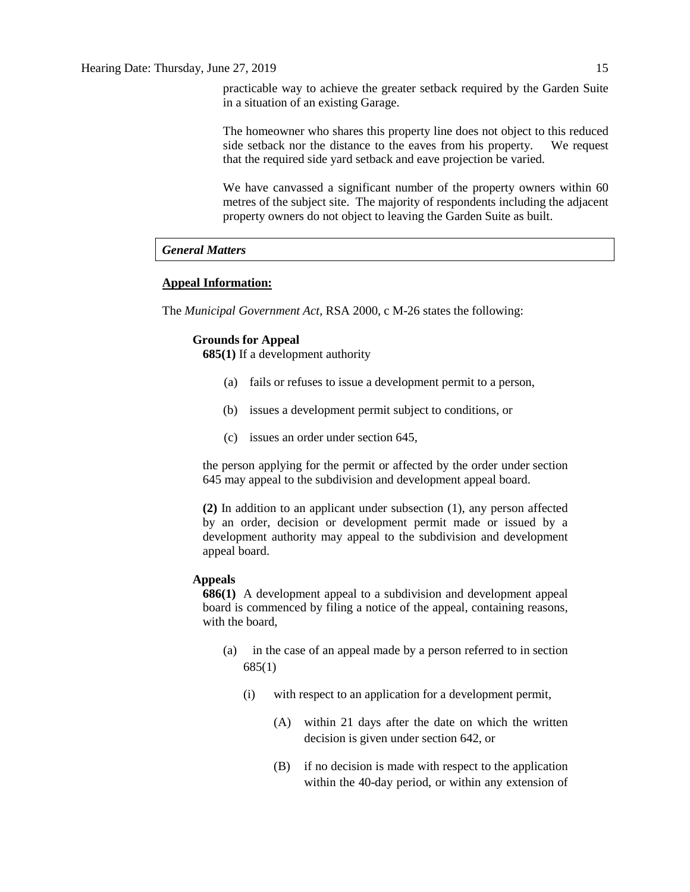practicable way to achieve the greater setback required by the Garden Suite in a situation of an existing Garage.

The homeowner who shares this property line does not object to this reduced side setback nor the distance to the eaves from his property. We request that the required side yard setback and eave projection be varied.

We have canvassed a significant number of the property owners within 60 metres of the subject site. The majority of respondents including the adjacent property owners do not object to leaving the Garden Suite as built.

#### *General Matters*

#### **Appeal Information:**

The *Municipal Government Act*, RSA 2000, c M-26 states the following:

## **Grounds for Appeal**

**685(1)** If a development authority

- (a) fails or refuses to issue a development permit to a person,
- (b) issues a development permit subject to conditions, or
- (c) issues an order under section 645,

the person applying for the permit or affected by the order under section 645 may appeal to the subdivision and development appeal board.

**(2)** In addition to an applicant under subsection (1), any person affected by an order, decision or development permit made or issued by a development authority may appeal to the subdivision and development appeal board.

#### **Appeals**

**686(1)** A development appeal to a subdivision and development appeal board is commenced by filing a notice of the appeal, containing reasons, with the board

- (a) in the case of an appeal made by a person referred to in section 685(1)
	- (i) with respect to an application for a development permit,
		- (A) within 21 days after the date on which the written decision is given under section 642, or
		- (B) if no decision is made with respect to the application within the 40-day period, or within any extension of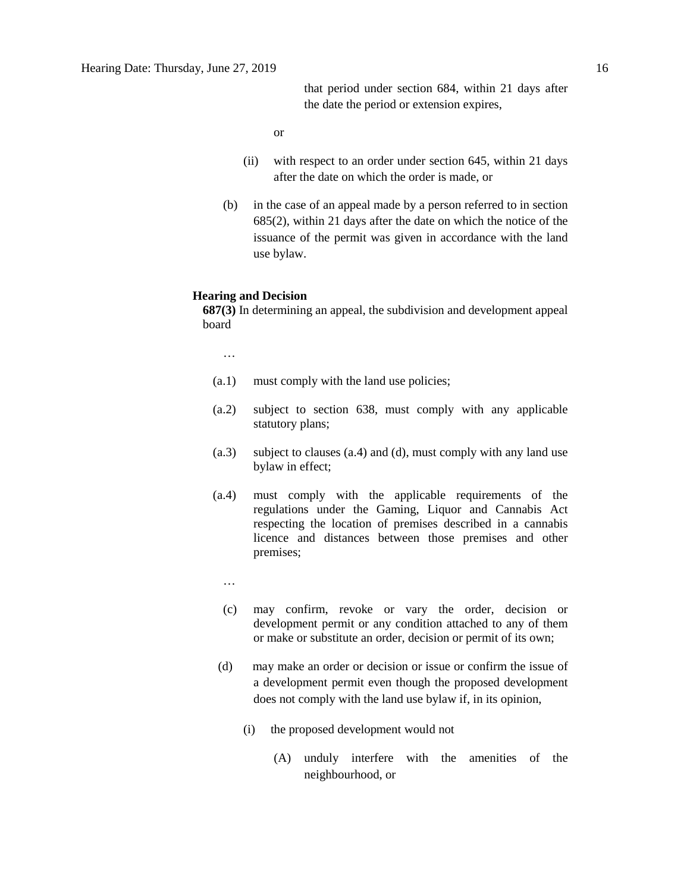that period under section 684, within 21 days after the date the period or extension expires,

or

- (ii) with respect to an order under section 645, within 21 days after the date on which the order is made, or
- (b) in the case of an appeal made by a person referred to in section 685(2), within 21 days after the date on which the notice of the issuance of the permit was given in accordance with the land use bylaw.

#### **Hearing and Decision**

**687(3)** In determining an appeal, the subdivision and development appeal board

…

- (a.1) must comply with the land use policies;
- (a.2) subject to section 638, must comply with any applicable statutory plans;
- (a.3) subject to clauses (a.4) and (d), must comply with any land use bylaw in effect;
- (a.4) must comply with the applicable requirements of the regulations under the Gaming, Liquor and Cannabis Act respecting the location of premises described in a cannabis licence and distances between those premises and other premises;
	- …
	- (c) may confirm, revoke or vary the order, decision or development permit or any condition attached to any of them or make or substitute an order, decision or permit of its own;
- (d) may make an order or decision or issue or confirm the issue of a development permit even though the proposed development does not comply with the land use bylaw if, in its opinion,
	- (i) the proposed development would not
		- (A) unduly interfere with the amenities of the neighbourhood, or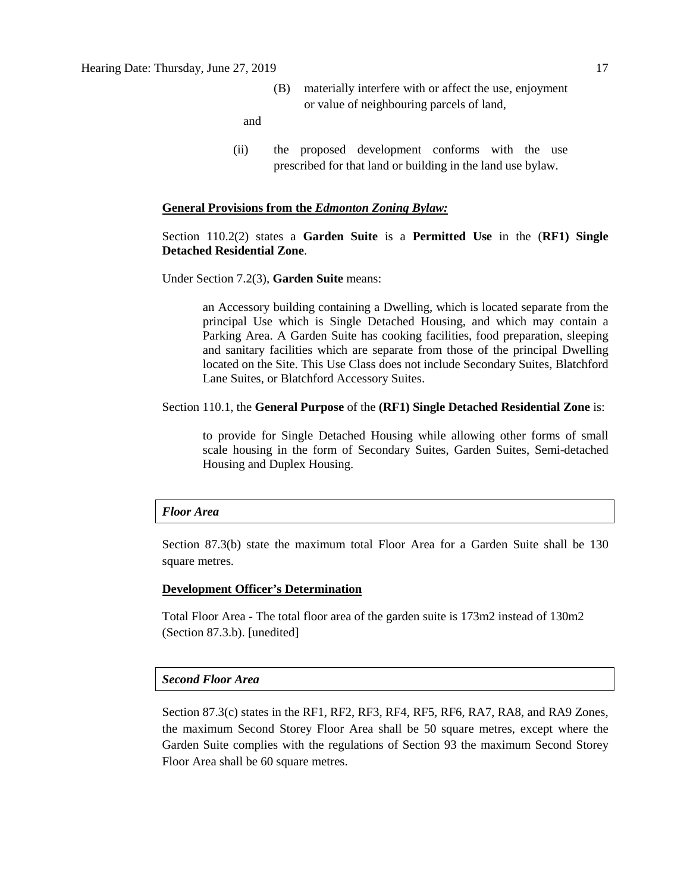(B) materially interfere with or affect the use, enjoyment or value of neighbouring parcels of land,

and

(ii) the proposed development conforms with the use prescribed for that land or building in the land use bylaw.

#### **General Provisions from the** *Edmonton Zoning Bylaw:*

## Section 110.2(2) states a **Garden Suite** is a **Permitted Use** in the (**RF1) Single Detached Residential Zone**.

Under Section 7.2(3), **Garden Suite** means:

an Accessory building containing a Dwelling, which is located separate from the principal Use which is Single Detached Housing, and which may contain a Parking Area. A Garden Suite has cooking facilities, food preparation, sleeping and sanitary facilities which are separate from those of the principal Dwelling located on the Site. This Use Class does not include Secondary Suites, Blatchford Lane Suites, or Blatchford Accessory Suites.

#### Section 110.1, the **General Purpose** of the **(RF1) Single Detached Residential Zone** is:

to provide for Single Detached Housing while allowing other forms of small scale housing in the form of Secondary Suites, Garden Suites, Semi-detached Housing and Duplex Housing.

#### *Floor Area*

Section 87.3(b) state the maximum total Floor Area for a Garden Suite shall be 130 square metres.

#### **Development Officer's Determination**

Total Floor Area - The total floor area of the garden suite is 173m2 instead of 130m2 (Section 87.3.b). [unedited]

#### *Second Floor Area*

Section 87.3(c) states in the RF1, RF2, RF3, RF4, RF5, RF6, RA7, RA8, and RA9 Zones, the maximum Second Storey Floor Area shall be 50 square metres, except where the Garden Suite complies with the regulations of Section 93 the maximum Second Storey Floor Area shall be 60 square metres.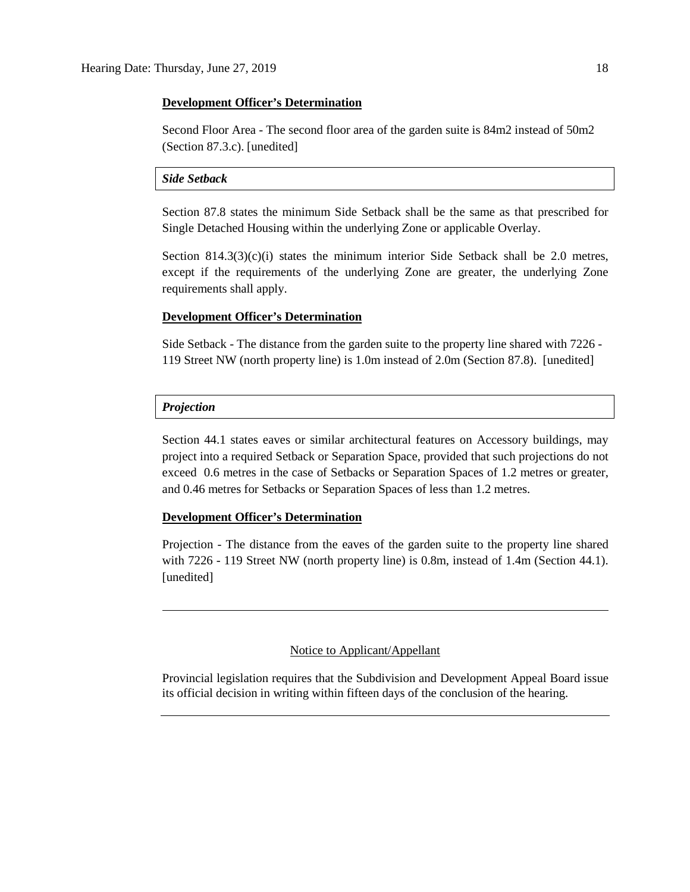#### **Development Officer's Determination**

Second Floor Area - The second floor area of the garden suite is 84m2 instead of 50m2 (Section 87.3.c). [unedited]

### *Side Setback*

Section 87.8 states the minimum Side Setback shall be the same as that prescribed for Single Detached Housing within the underlying Zone or applicable Overlay.

Section  $814.3(3)(c)(i)$  states the minimum interior Side Setback shall be 2.0 metres, except if the requirements of the underlying Zone are greater, the underlying Zone requirements shall apply.

### **Development Officer's Determination**

Side Setback - The distance from the garden suite to the property line shared with 7226 - 119 Street NW (north property line) is 1.0m instead of 2.0m (Section 87.8). [unedited]

#### *Projection*

Section 44.1 states eaves or similar architectural features on Accessory buildings, may project into a required Setback or Separation Space, provided that such projections do not exceed 0.6 metres in the case of Setbacks or Separation Spaces of 1.2 metres or greater, and 0.46 metres for Setbacks or Separation Spaces of less than 1.2 metres.

#### **Development Officer's Determination**

Projection - The distance from the eaves of the garden suite to the property line shared with 7226 - 119 Street NW (north property line) is 0.8m, instead of 1.4m (Section 44.1). [unedited]

### Notice to Applicant/Appellant

Provincial legislation requires that the Subdivision and Development Appeal Board issue its official decision in writing within fifteen days of the conclusion of the hearing.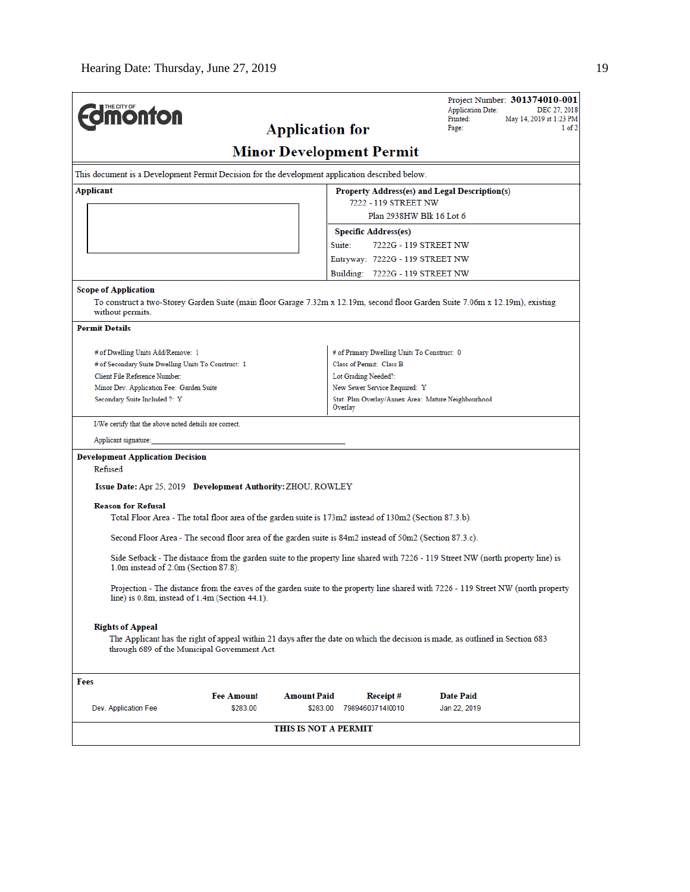| Project Number: 301374010-001<br><b>Application Date:</b><br>DEC 27, 2018<br>Printed:<br>May 14, 2019 at 1:23 PM<br>$1$ of $2$<br>Page: |  |  |
|-----------------------------------------------------------------------------------------------------------------------------------------|--|--|
| <b>Minor Development Permit</b>                                                                                                         |  |  |
| This document is a Development Permit Decision for the development application described below.                                         |  |  |
| Property Address(es) and Legal Description(s)                                                                                           |  |  |
| 7222 - 119 STREET NW                                                                                                                    |  |  |
| Plan 2938HW Blk 16 Lot 6                                                                                                                |  |  |
| <b>Specific Address(es)</b>                                                                                                             |  |  |
| 7222G - 119 STREET NW                                                                                                                   |  |  |
| Entryway: 7222G - 119 STREET NW                                                                                                         |  |  |
| Building: 7222G - 119 STREET NW                                                                                                         |  |  |
|                                                                                                                                         |  |  |
| To construct a two-Storey Garden Suite (main floor Garage 7.32m x 12.19m, second floor Garden Suite 7.06m x 12.19m), existing           |  |  |
|                                                                                                                                         |  |  |
| # of Primary Dwelling Units To Construct: 0                                                                                             |  |  |
| Class of Permit: Class B                                                                                                                |  |  |
| Lot Grading Needed?:                                                                                                                    |  |  |
| New Sewer Service Required: Y                                                                                                           |  |  |
| Stat. Plan Overlay/Annex Area: Mature Neighbourhood                                                                                     |  |  |
|                                                                                                                                         |  |  |
|                                                                                                                                         |  |  |
|                                                                                                                                         |  |  |
|                                                                                                                                         |  |  |
| Total Floor Area - The total floor area of the garden suite is 173m2 instead of 130m2 (Section 87.3.b).                                 |  |  |
| Second Floor Area - The second floor area of the garden suite is 84m2 instead of 50m2 (Section 87.3.c).                                 |  |  |
| Side Setback - The distance from the garden suite to the property line shared with 7226 - 119 Street NW (north property line) is        |  |  |
| Projection - The distance from the eaves of the garden suite to the property line shared with 7226 - 119 Street NW (north property      |  |  |
|                                                                                                                                         |  |  |
| The Applicant has the right of appeal within 21 days after the date on which the decision is made, as outlined in Section 683           |  |  |
|                                                                                                                                         |  |  |
| <b>Date Paid</b><br>Receipt#<br>79894603714l0010<br>Jan 22, 2019                                                                        |  |  |
|                                                                                                                                         |  |  |
|                                                                                                                                         |  |  |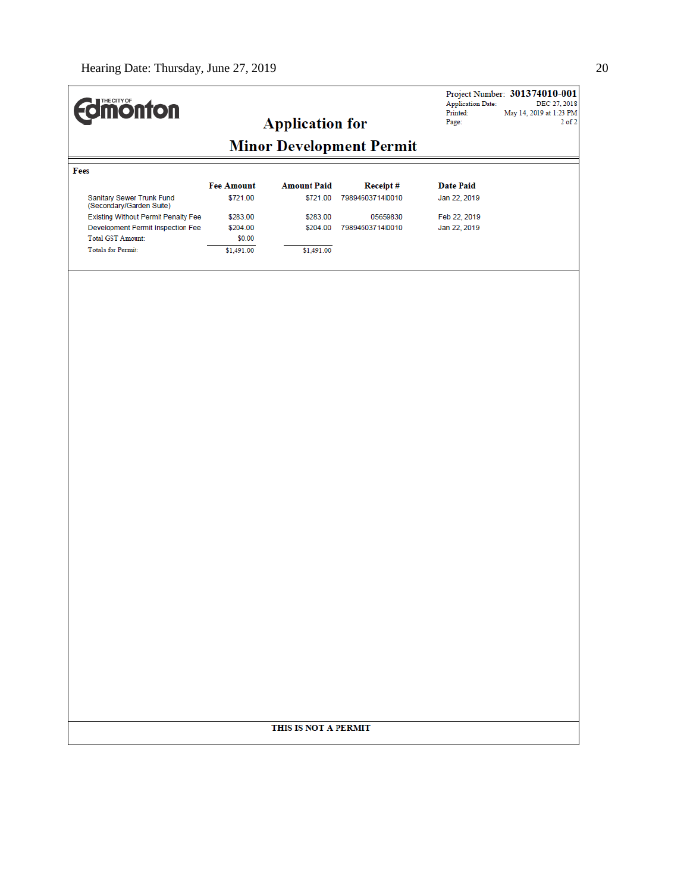| <b>difficution</b>                                                                                                               |                                |                                |                                     | <b>Application Date:</b>         | Project Number: 301374010-001<br>DEC 27, 2018 |
|----------------------------------------------------------------------------------------------------------------------------------|--------------------------------|--------------------------------|-------------------------------------|----------------------------------|-----------------------------------------------|
|                                                                                                                                  |                                | <b>Application for</b>         |                                     | Printed:<br>Page:                | May 14, 2019 at 1:23 PM<br>$2$ of $2$         |
|                                                                                                                                  |                                |                                | <b>Minor Development Permit</b>     |                                  |                                               |
| Fees                                                                                                                             |                                |                                |                                     |                                  |                                               |
| Sanitary Sewer Trunk Fund                                                                                                        | <b>Fee Amount</b><br>\$721.00  | <b>Amount Paid</b><br>\$721.00 | <b>Receipt#</b><br>7989460371410010 | <b>Date Paid</b><br>Jan 22, 2019 |                                               |
| (Secondary/Garden Suite)<br>Existing Without Permit Penalty Fee<br>Development Permit Inspection Fee<br><b>Total GST Amount:</b> | \$283.00<br>\$204.00<br>\$0.00 | \$283.00<br>\$204.00           | 05659830<br>79894603714l0010        | Feb 22, 2019<br>Jan 22, 2019     |                                               |
| <b>Totals for Permit:</b>                                                                                                        | \$1,491.00                     | \$1,491.00                     |                                     |                                  |                                               |
|                                                                                                                                  |                                |                                |                                     |                                  |                                               |
|                                                                                                                                  |                                |                                |                                     |                                  |                                               |
|                                                                                                                                  |                                |                                |                                     |                                  |                                               |
|                                                                                                                                  |                                |                                |                                     |                                  |                                               |
|                                                                                                                                  |                                |                                |                                     |                                  |                                               |
|                                                                                                                                  |                                |                                |                                     |                                  |                                               |
|                                                                                                                                  |                                |                                |                                     |                                  |                                               |
|                                                                                                                                  |                                |                                |                                     |                                  |                                               |
|                                                                                                                                  |                                |                                |                                     |                                  |                                               |
|                                                                                                                                  |                                |                                |                                     |                                  |                                               |
|                                                                                                                                  |                                |                                |                                     |                                  |                                               |
|                                                                                                                                  |                                |                                |                                     |                                  |                                               |
|                                                                                                                                  |                                |                                |                                     |                                  |                                               |
|                                                                                                                                  |                                |                                |                                     |                                  |                                               |
|                                                                                                                                  |                                |                                |                                     |                                  |                                               |
|                                                                                                                                  |                                |                                |                                     |                                  |                                               |
|                                                                                                                                  |                                |                                |                                     |                                  |                                               |
|                                                                                                                                  |                                |                                |                                     |                                  |                                               |
|                                                                                                                                  |                                |                                |                                     |                                  |                                               |
|                                                                                                                                  |                                |                                |                                     |                                  |                                               |
|                                                                                                                                  |                                |                                |                                     |                                  |                                               |
|                                                                                                                                  |                                |                                |                                     |                                  |                                               |
|                                                                                                                                  |                                |                                |                                     |                                  |                                               |
|                                                                                                                                  |                                | THIS IS NOT A PERMIT           |                                     |                                  |                                               |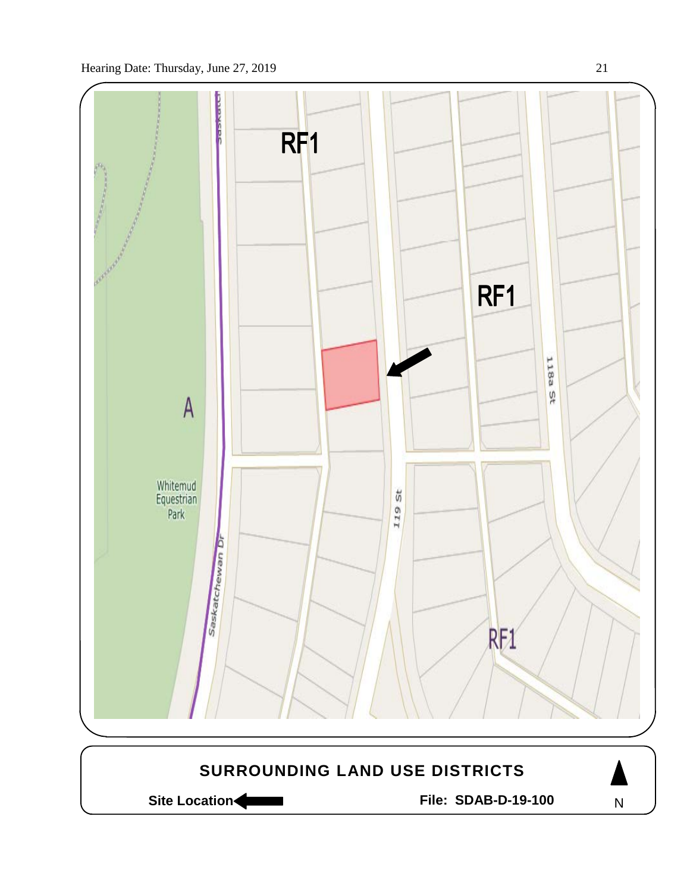

Site Location **Community Contracts** File: SDAB-D-19-100

N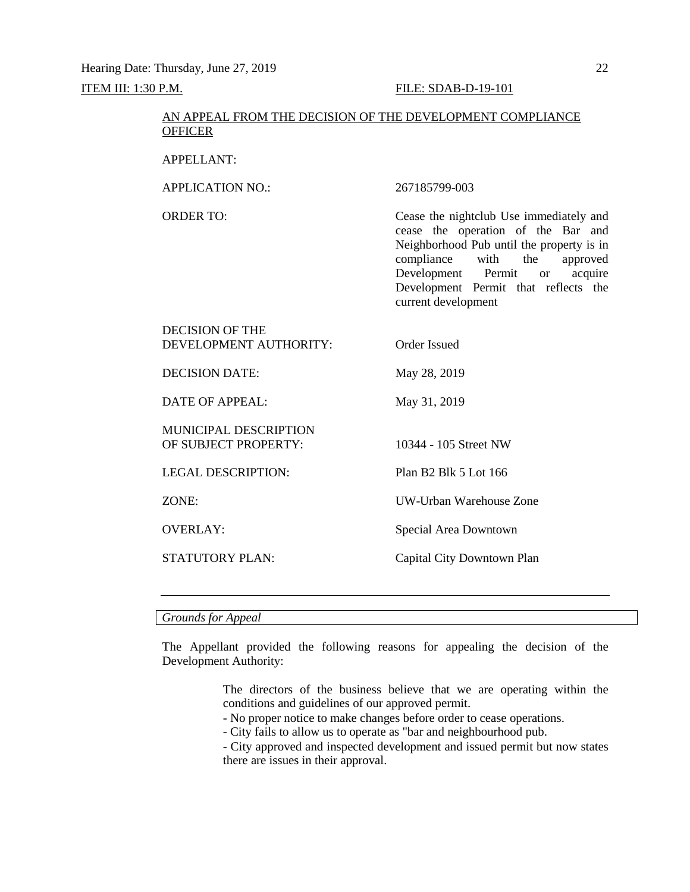## AN APPEAL FROM THE DECISION OF THE DEVELOPMENT COMPLIANCE **OFFICER**

APPELLANT:

APPLICATION NO.: 267185799-003

DECISION OF THE

ORDER TO: Cease the nightclub Use immediately and cease the operation of the Bar and Neighborhood Pub until the property is in compliance with the approved<br>Development Permit or acquire Development Permit or Development Permit that reflects the current development

| DECISION OF THE<br>DEVELOPMENT AUTHORITY:     | Order Issued               |
|-----------------------------------------------|----------------------------|
| DECISION DATE:                                | May 28, 2019               |
| DATE OF APPEAL:                               | May 31, 2019               |
| MUNICIPAL DESCRIPTION<br>OF SUBJECT PROPERTY: | 10344 - 105 Street NW      |
| <b>LEGAL DESCRIPTION:</b>                     | Plan B2 Blk 5 Lot 166      |
| ZONE:                                         | UW-Urban Warehouse Zone    |
| <b>OVERLAY:</b>                               | Special Area Downtown      |
| STATUTORY PLAN:                               | Capital City Downtown Plan |
|                                               |                            |

*Grounds for Appeal*

The Appellant provided the following reasons for appealing the decision of the Development Authority:

> The directors of the business believe that we are operating within the conditions and guidelines of our approved permit.

- No proper notice to make changes before order to cease operations.

- City fails to allow us to operate as "bar and neighbourhood pub.

- City approved and inspected development and issued permit but now states there are issues in their approval.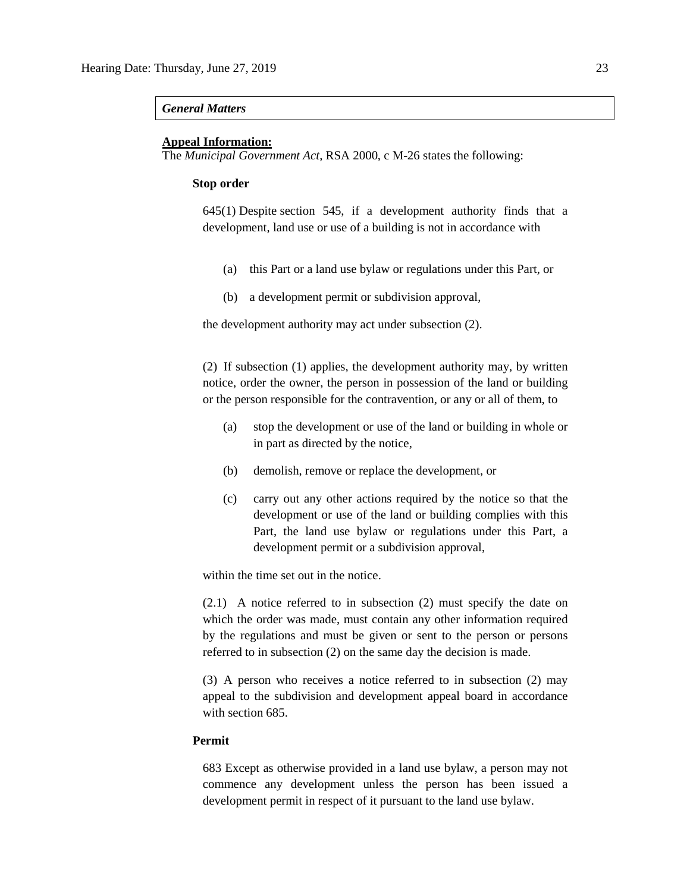#### *General Matters*

#### **Appeal Information:**

The *Municipal Government Act*, RSA 2000, c M-26 states the following:

#### **Stop order**

645(1) Despite [section 545,](https://www.canlii.org/en/ab/laws/stat/rsa-2000-c-m-26/latest/rsa-2000-c-m-26.html%23sec545_smooth) if a development authority finds that a development, land use or use of a building is not in accordance with

- (a) this Part or a land use bylaw or regulations under this Part, or
- (b) a development permit or subdivision approval,

the development authority may act under subsection (2).

(2) If subsection (1) applies, the development authority may, by written notice, order the owner, the person in possession of the land or building or the person responsible for the contravention, or any or all of them, to

- (a) stop the development or use of the land or building in whole or in part as directed by the notice,
- (b) demolish, remove or replace the development, or
- (c) carry out any other actions required by the notice so that the development or use of the land or building complies with this Part, the land use bylaw or regulations under this Part, a development permit or a subdivision approval,

within the time set out in the notice.

(2.1) A notice referred to in subsection (2) must specify the date on which the order was made, must contain any other information required by the regulations and must be given or sent to the person or persons referred to in subsection (2) on the same day the decision is made.

(3) A person who receives a notice referred to in subsection (2) may appeal to the subdivision and development appeal board in accordance with [section 685.](https://www.canlii.org/en/ab/laws/stat/rsa-2000-c-m-26/latest/rsa-2000-c-m-26.html%23sec685_smooth)

#### **Permit**

683 Except as otherwise provided in a land use bylaw, a person may not commence any development unless the person has been issued a development permit in respect of it pursuant to the land use bylaw.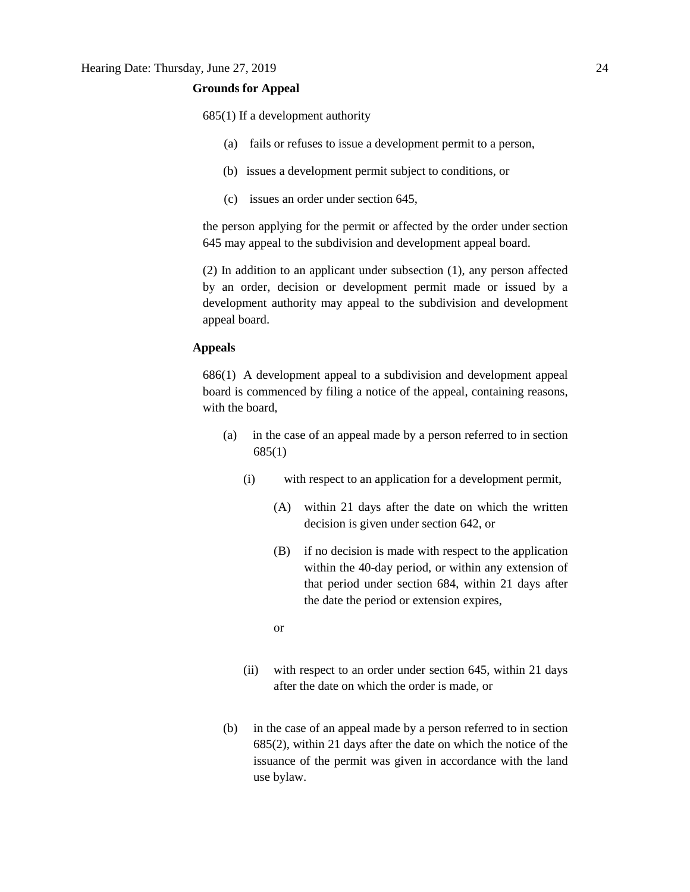#### **Grounds for Appeal**

685(1) If a development authority

- (a) fails or refuses to issue a development permit to a person,
- (b) issues a development permit subject to conditions, or
- (c) issues an order under section 645,

the person applying for the permit or affected by the order under section 645 may appeal to the subdivision and development appeal board.

(2) In addition to an applicant under subsection (1), any person affected by an order, decision or development permit made or issued by a development authority may appeal to the subdivision and development appeal board.

### **Appeals**

686(1) A development appeal to a subdivision and development appeal board is commenced by filing a notice of the appeal, containing reasons, with the board,

- (a) in the case of an appeal made by a person referred to in section 685(1)
	- (i) with respect to an application for a development permit,
		- (A) within 21 days after the date on which the written decision is given under section 642, or
		- (B) if no decision is made with respect to the application within the 40-day period, or within any extension of that period under section 684, within 21 days after the date the period or extension expires,
		- or
	- (ii) with respect to an order under section 645, within 21 days after the date on which the order is made, or
- (b) in the case of an appeal made by a person referred to in section 685(2), within 21 days after the date on which the notice of the issuance of the permit was given in accordance with the land use bylaw.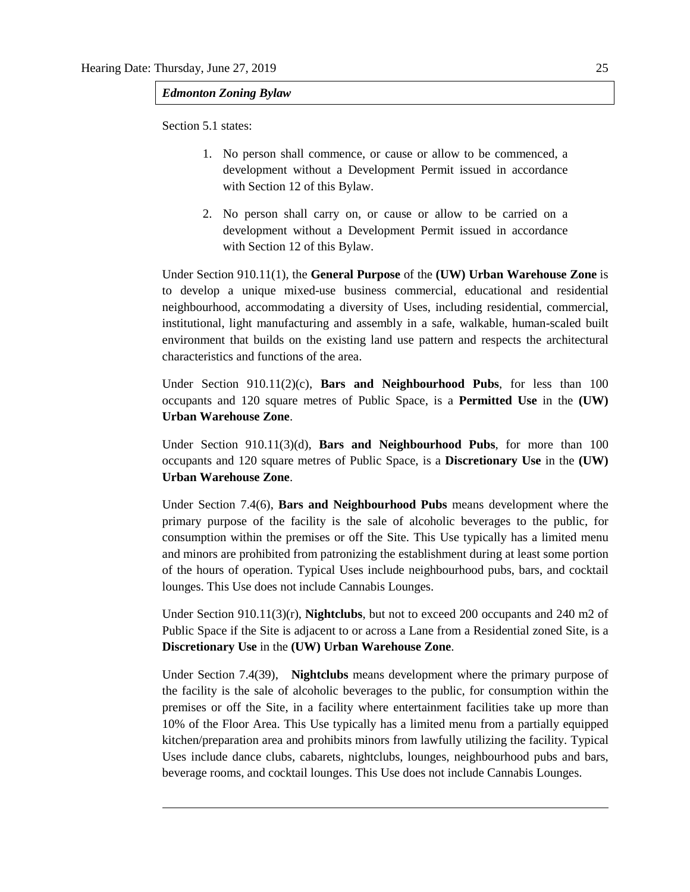*Edmonton Zoning Bylaw*

Section 5.1 states:

- 1. No person shall commence, or cause or allow to be commenced, a development without a Development Permit issued in accordance with [Section 12](https://webdocs.edmonton.ca/InfraPlan/zoningbylaw/ZoningBylaw/Part1/Administrative/12__Development_Classes.htm) of this Bylaw.
- 2. No person shall carry on, or cause or allow to be carried on a development without a Development Permit issued in accordance with [Section 12](https://webdocs.edmonton.ca/InfraPlan/zoningbylaw/ZoningBylaw/Part1/Administrative/12__Development_Classes.htm) of this Bylaw.

Under Section 910.11(1), the **General Purpose** of the **(UW) Urban Warehouse Zone** is to develop a unique mixed-use business commercial, educational and residential neighbourhood, accommodating a diversity of Uses, including residential, commercial, institutional, light manufacturing and assembly in a safe, walkable, human-scaled built environment that builds on the existing land use pattern and respects the architectural characteristics and functions of the area.

Under Section 910.11(2)(c), **Bars and Neighbourhood Pubs**, for less than 100 occupants and 120 square metres of Public Space, is a **Permitted Use** in the **(UW) Urban Warehouse Zone**.

Under Section 910.11(3)(d), **Bars and Neighbourhood Pubs**, for more than 100 occupants and 120 square metres of Public Space, is a **Discretionary Use** in the **(UW) Urban Warehouse Zone**.

Under Section 7.4(6), **Bars and Neighbourhood Pubs** means development where the primary purpose of the facility is the sale of alcoholic beverages to the public, for consumption within the premises or off the Site. This Use typically has a limited menu and minors are prohibited from patronizing the establishment during at least some portion of the hours of operation. Typical Uses include neighbourhood pubs, bars, and cocktail lounges. This Use does not include Cannabis Lounges.

Under Section 910.11(3)(r), **Nightclubs**, but not to exceed 200 occupants and 240 m2 of Public Space if the Site is adjacent to or across a Lane from a Residential zoned Site, is a **Discretionary Use** in the **(UW) Urban Warehouse Zone**.

Under Section 7.4(39), **Nightclubs** means development where the primary purpose of the facility is the sale of alcoholic beverages to the public, for consumption within the premises or off the Site, in a facility where entertainment facilities take up more than 10% of the Floor Area. This Use typically has a limited menu from a partially equipped kitchen/preparation area and prohibits minors from lawfully utilizing the facility. Typical Uses include dance clubs, cabarets, nightclubs, lounges, neighbourhood pubs and bars, beverage rooms, and cocktail lounges. This Use does not include Cannabis Lounges.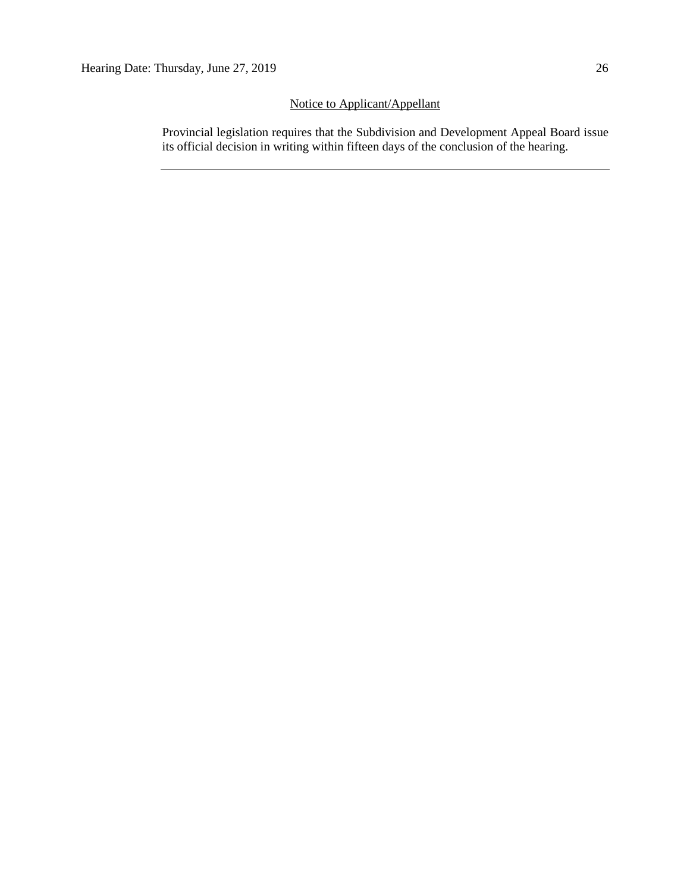# Notice to Applicant/Appellant

Provincial legislation requires that the Subdivision and Development Appeal Board issue its official decision in writing within fifteen days of the conclusion of the hearing.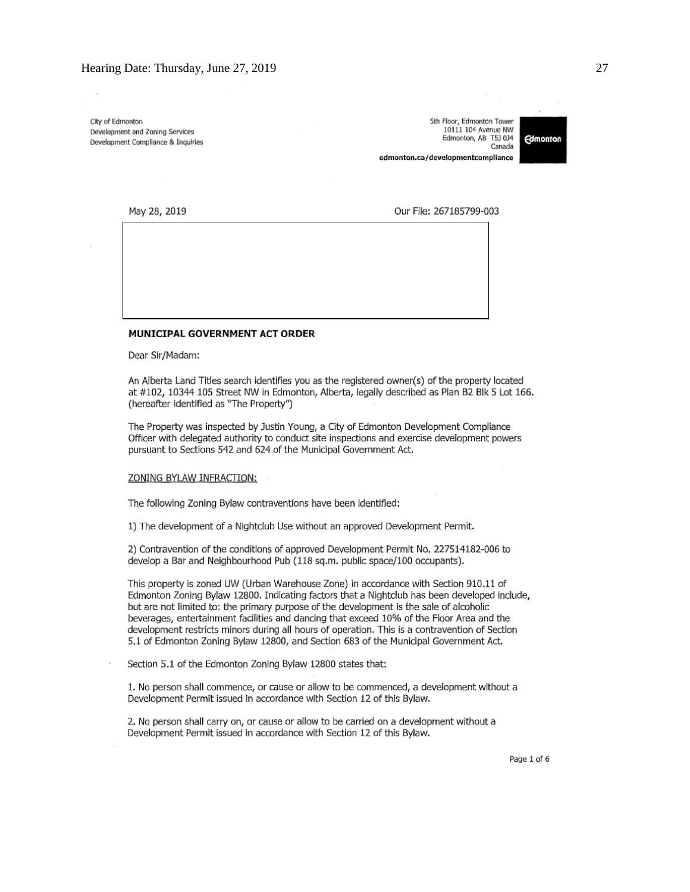City of Edmonton Development and Zoning Services Development Compliance & Inquiries

5th Floor, Edmonton Tower 10111 104 Avenue NW Edmonton, AB T5J 0J4 Canada edmonton.ca/developmentcompliance



May 28, 2019

Our File: 267185799-003

#### MUNICIPAL GOVERNMENT ACT ORDER

Dear Sir/Madam:

An Alberta Land Titles search identifies you as the registered owner(s) of the property located at #102, 10344 105 Street NW in Edmonton, Alberta, legally described as Plan B2 Blk 5 Lot 166. (hereafter identified as "The Property")

The Property was inspected by Justin Young, a City of Edmonton Development Compliance Officer with delegated authority to conduct site inspections and exercise development powers pursuant to Sections 542 and 624 of the Municipal Government Act.

#### ZONING BYLAW INFRACTION:

The following Zoning Bylaw contraventions have been identified:

1) The development of a Nightclub Use without an approved Development Permit.

2) Contravention of the conditions of approved Development Permit No. 227514182-006 to develop a Bar and Neighbourhood Pub (118 sq.m. public space/100 occupants).

This property is zoned UW (Urban Warehouse Zone) in accordance with Section 910.11 of Edmonton Zoning Bylaw 12800. Indicating factors that a Nightclub has been developed include, but are not limited to: the primary purpose of the development is the sale of alcoholic beverages, entertainment facilities and dancing that exceed 10% of the Floor Area and the development restricts minors during all hours of operation. This is a contravention of Section 5.1 of Edmonton Zoning Bylaw 12800, and Section 683 of the Municipal Government Act.

Section 5.1 of the Edmonton Zoning Bylaw 12800 states that:

1. No person shall commence, or cause or allow to be commenced, a development without a Development Permit issued in accordance with Section 12 of this Bylaw.

2. No person shall carry on, or cause or allow to be carried on a development without a Development Permit issued in accordance with Section 12 of this Bylaw.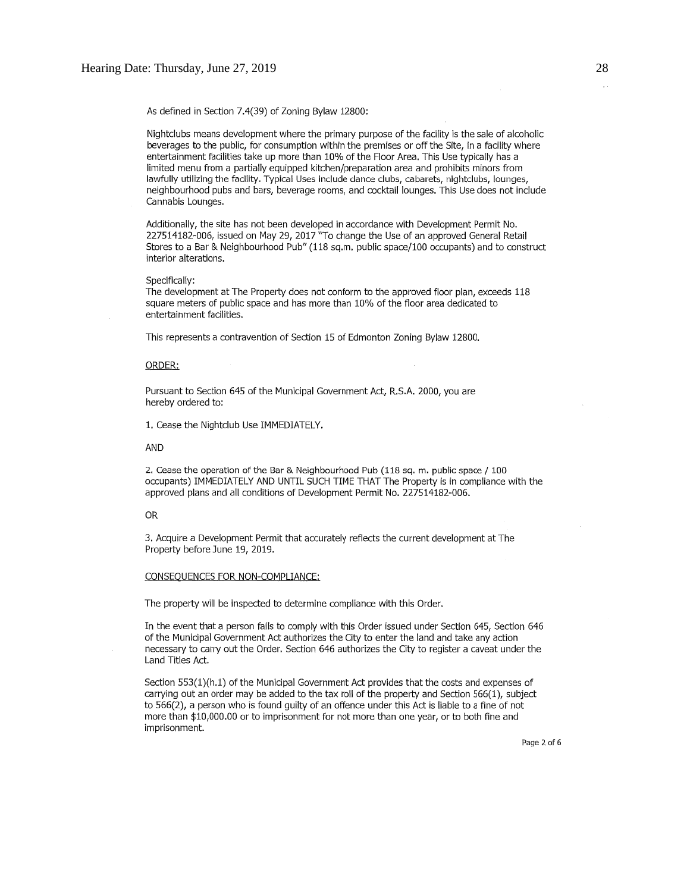As defined in Section 7.4(39) of Zoning Bylaw 12800:

Nightclubs means development where the primary purpose of the facility is the sale of alcoholic beverages to the public, for consumption within the premises or off the Site, in a facility where entertainment facilities take up more than 10% of the Floor Area. This Use typically has a limited menu from a partially equipped kitchen/preparation area and prohibits minors from lawfully utilizing the facility. Typical Uses include dance clubs, cabarets, nightclubs, lounges, neighbourhood pubs and bars, beverage rooms, and cocktail lounges. This Use does not include Cannabis Lounges.

Additionally, the site has not been developed in accordance with Development Permit No. 227514182-006, issued on May 29, 2017 "To change the Use of an approved General Retail Stores to a Bar & Neighbourhood Pub" (118 sq.m. public space/100 occupants) and to construct interior alterations.

#### Specifically:

The development at The Property does not conform to the approved floor plan, exceeds 118 square meters of public space and has more than 10% of the floor area dedicated to entertainment facilities.

This represents a contravention of Section 15 of Edmonton Zoning Bylaw 12800.

#### ORDER:

Pursuant to Section 645 of the Municipal Government Act, R.S.A. 2000, you are hereby ordered to:

1. Cease the Nightclub Use IMMEDIATELY.

AND

2. Cease the operation of the Bar & Neighbourhood Pub (118 sq. m. public space / 100 occupants) IMMEDIATELY AND UNTIL SUCH TIME THAT The Property is in compliance with the approved plans and all conditions of Development Permit No. 227514182-006.

#### **OR**

3. Acquire a Development Permit that accurately reflects the current development at The Property before June 19, 2019.

#### CONSEQUENCES FOR NON-COMPLIANCE:

The property will be inspected to determine compliance with this Order,

In the event that a person fails to comply with this Order issued under Section 645, Section 646 of the Municipal Government Act authorizes the City to enter the land and take any action necessary to carry out the Order. Section 646 authorizes the City to register a caveat under the Land Titles Act.

Section 553(1)(h.1) of the Municipal Government Act provides that the costs and expenses of carrying out an order may be added to the tax roll of the property and Section 566(1), subject to 566(2), a person who is found guilty of an offence under this Act is liable to a fine of not more than \$10,000.00 or to imprisonment for not more than one year, or to both fine and imprisonment.

Page 2 of 6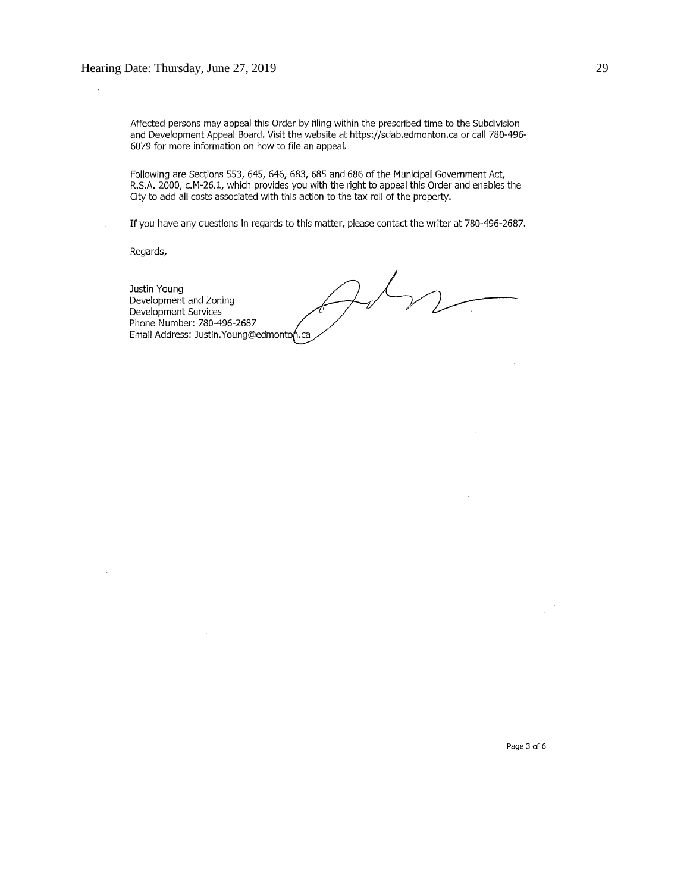Affected persons may appeal this Order by filing within the prescribed time to the Subdivision and Development Appeal Board. Visit the website at https://sdab.edmonton.ca or call 780-496-6079 for more information on how to file an appeal.

Following are Sections 553, 645, 646, 683, 685 and 686 of the Municipal Government Act, R.S.A. 2000, c.M-26.1, which provides you with the right to appeal this Order and enables the City to add all costs associated with this action to the tax roll of the property.

If you have any questions in regards to this matter, please contact the writer at 780-496-2687.

Regards,

Justin Young Development and Zoning Development Services Phone Number: 780-496-2687 Email Address: Justin. Young@edmonton.ca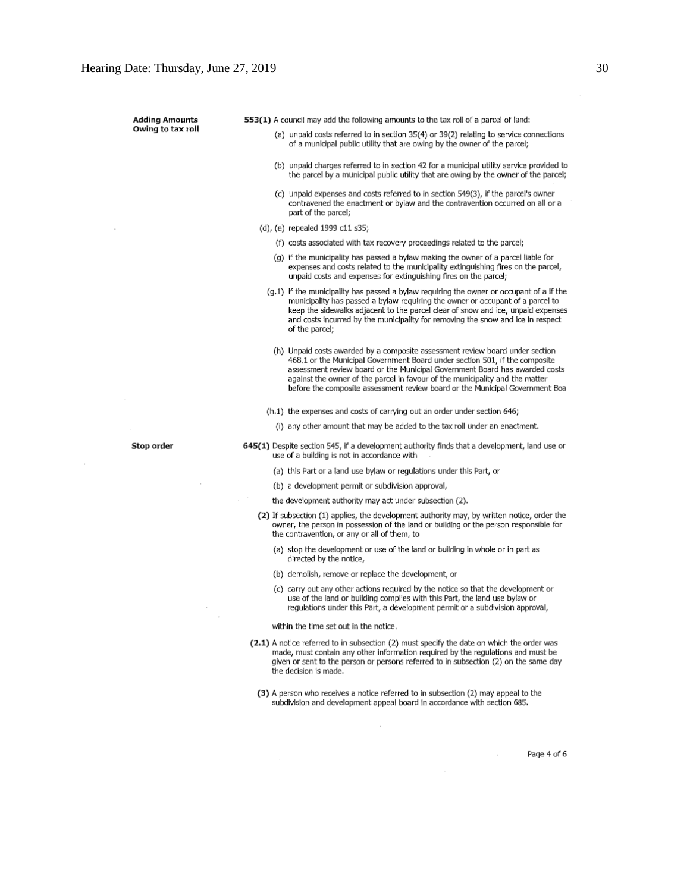**Adding Amounts** Owing to tax roll 553(1) A council may add the following amounts to the tax roll of a parcel of land:

- (a) unpaid costs referred to in section 35(4) or 39(2) relating to service connections of a municipal public utility that are owing by the owner of the parcel;
- (b) unpaid charges referred to in section 42 for a municipal utility service provided to the parcel by a municipal public utility that are owing by the owner of the parcel;
- (c) unpaid expenses and costs referred to in section 549(3), if the parcel's owner contravened the enactment or bylaw and the contravention occurred on all or a part of the parcel;
- (d), (e) repealed 1999 c11 s35;
	- (f) costs associated with tax recovery proceedings related to the parcel;
	- (g) if the municipality has passed a bylaw making the owner of a parcel liable for expenses and costs related to the municipality extinguishing fires on the parcel, unpaid costs and expenses for extinguishing fires on the parcel;
	- (g.1) if the municipality has passed a bylaw requiring the owner or occupant of a if the municipality has passed a bylaw requiring the owner or occupant of a parcel to keep the sidewalks adjacent to the parcel clear of snow and ice, unpaid expenses and costs incurred by the municipality for removing the snow and ice in respect of the parcel;
		- (h) Unpaid costs awarded by a composite assessment review board under section 468.1 or the Municipal Government Board under section 501, if the composite assessment review board or the Municipal Government Board has awarded costs against the owner of the parcel in favour of the municipality and the matter before the composite assessment review board or the Municipal Government Boa
	- (h.1) the expenses and costs of carrying out an order under section 646;
		- (i) any other amount that may be added to the tax roll under an enactment.

Stop order

645(1) Despite section 545, if a development authority finds that a development, land use or use of a building is not in accordance with

- (a) this Part or a land use bylaw or regulations under this Part, or
- (b) a development permit or subdivision approval,
- the development authority may act under subsection (2).
- (2) If subsection (1) applies, the development authority may, by written notice, order the owner, the person in possession of the land or building or the person responsible for the contravention, or any or all of them, to
	- (a) stop the development or use of the land or building in whole or in part as directed by the notice,
	- (b) demolish, remove or replace the development, or
	- (c) carry out any other actions required by the notice so that the development or use of the land or building complies with this Part, the land use bylaw or regulations under this Part, a development permit or a subdivision approval,

#### within the time set out in the notice.

- (2.1) A notice referred to in subsection (2) must specify the date on which the order was made, must contain any other information required by the regulations and must be given or sent to the person or persons referred to in subsection (2) on the same day the decision is made.
- (3) A person who receives a notice referred to in subsection (2) may appeal to the subdivision and development appeal board in accordance with section 685.

Page 4 of 6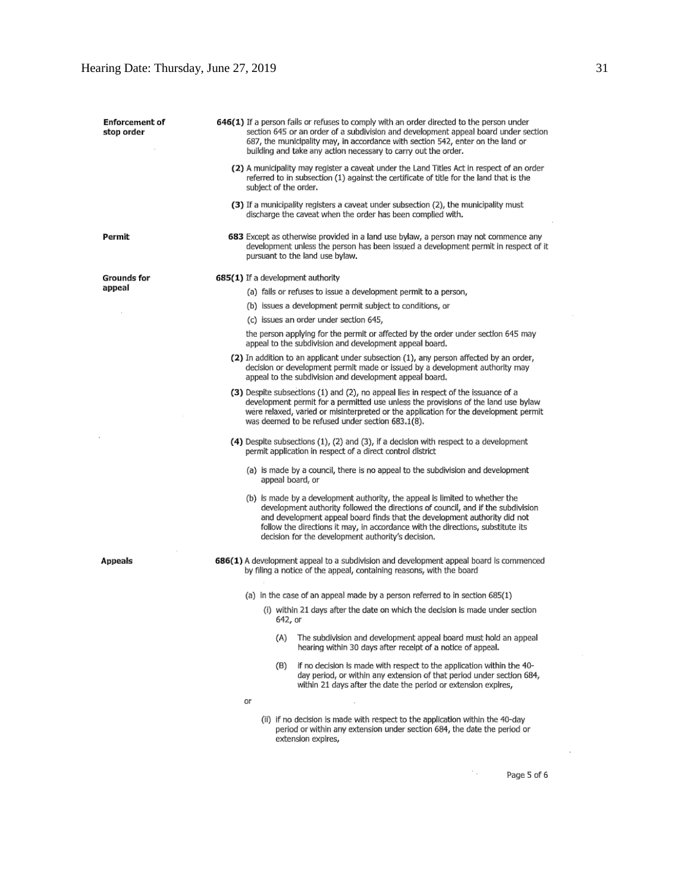| <b>Enforcement of</b><br>stop order |    | 646(1) If a person fails or refuses to comply with an order directed to the person under<br>section 645 or an order of a subdivision and development appeal board under section<br>687, the municipality may, in accordance with section 542, enter on the land or<br>building and take any action necessary to carry out the order.                                                   |  |  |  |  |
|-------------------------------------|----|----------------------------------------------------------------------------------------------------------------------------------------------------------------------------------------------------------------------------------------------------------------------------------------------------------------------------------------------------------------------------------------|--|--|--|--|
|                                     |    | (2) A municipality may register a caveat under the Land Titles Act in respect of an order<br>referred to in subsection (1) against the certificate of title for the land that is the<br>subject of the order.                                                                                                                                                                          |  |  |  |  |
|                                     |    | (3) If a municipality registers a caveat under subsection (2), the municipality must<br>discharge the caveat when the order has been complied with.                                                                                                                                                                                                                                    |  |  |  |  |
| Permit                              |    | 683 Except as otherwise provided in a land use bylaw, a person may not commence any<br>development unless the person has been issued a development permit in respect of it<br>pursuant to the land use bylaw.                                                                                                                                                                          |  |  |  |  |
| Grounds for                         |    | 685(1) If a development authority                                                                                                                                                                                                                                                                                                                                                      |  |  |  |  |
| appeal                              |    | (a) fails or refuses to issue a development permit to a person,                                                                                                                                                                                                                                                                                                                        |  |  |  |  |
|                                     |    | (b) issues a development permit subject to conditions, or                                                                                                                                                                                                                                                                                                                              |  |  |  |  |
|                                     |    | (c) issues an order under section 645,                                                                                                                                                                                                                                                                                                                                                 |  |  |  |  |
|                                     |    | the person applying for the permit or affected by the order under section 645 may<br>appeal to the subdivision and development appeal board.                                                                                                                                                                                                                                           |  |  |  |  |
|                                     |    | (2) In addition to an applicant under subsection (1), any person affected by an order,<br>decision or development permit made or issued by a development authority may<br>appeal to the subdivision and development appeal board.                                                                                                                                                      |  |  |  |  |
|                                     |    | (3) Despite subsections (1) and (2), no appeal lies in respect of the issuance of a<br>development permit for a permitted use unless the provisions of the land use bylaw<br>were relaxed, varied or misinterpreted or the application for the development permit<br>was deemed to be refused under section 683.1(8).                                                                  |  |  |  |  |
|                                     |    | (4) Despite subsections (1), (2) and (3), if a decision with respect to a development<br>permit application in respect of a direct control district                                                                                                                                                                                                                                    |  |  |  |  |
|                                     |    | (a) is made by a council, there is no appeal to the subdivision and development<br>appeal board, or                                                                                                                                                                                                                                                                                    |  |  |  |  |
|                                     |    | (b) is made by a development authority, the appeal is limited to whether the<br>development authority followed the directions of council, and if the subdivision<br>and development appeal board finds that the development authority did not<br>follow the directions it may, in accordance with the directions, substitute its<br>decision for the development authority's decision. |  |  |  |  |
| Appeals                             |    | 686(1) A development appeal to a subdivision and development appeal board is commenced<br>by filing a notice of the appeal, containing reasons, with the board                                                                                                                                                                                                                         |  |  |  |  |
|                                     |    | (a) in the case of an appeal made by a person referred to in section $685(1)$                                                                                                                                                                                                                                                                                                          |  |  |  |  |
|                                     |    | (i) within 21 days after the date on which the decision is made under section                                                                                                                                                                                                                                                                                                          |  |  |  |  |
|                                     |    | 642, or                                                                                                                                                                                                                                                                                                                                                                                |  |  |  |  |
|                                     |    | The subdivision and development appeal board must hold an appeal<br>(A)<br>hearing within 30 days after receipt of a notice of appeal.                                                                                                                                                                                                                                                 |  |  |  |  |
|                                     |    | if no decision is made with respect to the application within the 40-<br>(B)<br>day period, or within any extension of that period under section 684,<br>within 21 days after the date the period or extension expires,                                                                                                                                                                |  |  |  |  |
|                                     | ٥r |                                                                                                                                                                                                                                                                                                                                                                                        |  |  |  |  |
|                                     |    | (ii) if no decision is made with respect to the application within the 40-day<br>period or within any extension under section 684, the date the period or<br>extension expires,                                                                                                                                                                                                        |  |  |  |  |
|                                     |    |                                                                                                                                                                                                                                                                                                                                                                                        |  |  |  |  |

Page 5 of 6

 $\mathcal{N}_{\rm{max}}$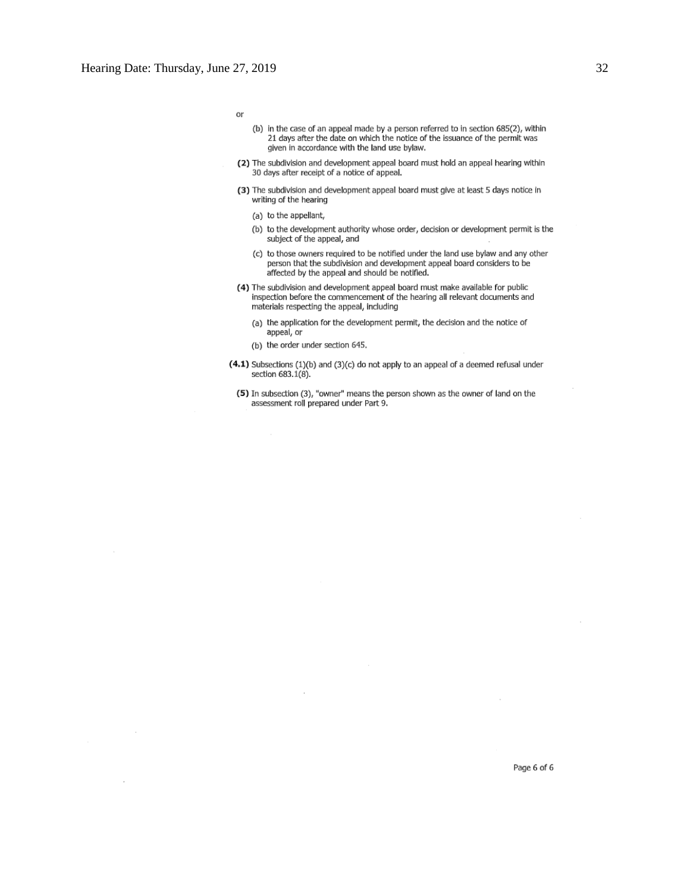or

- (b) in the case of an appeal made by a person referred to in section 685(2), within 21 days after the date on which the notice of the issuance of the permit was given in accordance with the land use bylaw.
- (2) The subdivision and development appeal board must hold an appeal hearing within 30 days after receipt of a notice of appeal.
- (3) The subdivision and development appeal board must give at least 5 days notice in writing of the hearing
	- (a) to the appellant,
	- (b) to the development authority whose order, decision or development permit is the subject of the appeal, and
	- (c) to those owners required to be notified under the land use bylaw and any other person that the subdivision and development appeal board considers to be affected by the appeal and should be notified.
- (4) The subdivision and development appeal board must make available for public inspection before the commencement of the hearing all relevant documents and materials respecting the appeal, including
	- (a) the application for the development permit, the decision and the notice of appeal, or
	- (b) the order under section 645.
- (4.1) Subsections (1)(b) and (3)(c) do not apply to an appeal of a deemed refusal under section 683.1(8).
	- (5) In subsection (3), "owner" means the person shown as the owner of land on the assessment roll prepared under Part 9.